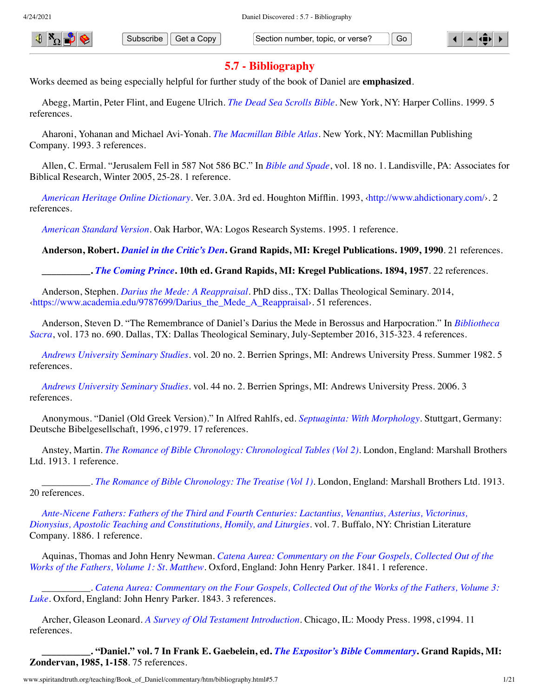

Subscribe Get a Copy Section number, topic, or verse? Go



# **5.7 - Bibliography**

Works deemed as being especially helpful for further study of the book of Daniel are **emphasized**.

Abegg, Martin, Peter Flint, and Eugene Ulrich. *[The Dead Sea Scrolls Bible](http://www.spiritandtruth.org/id/isbn.htm?0060600640)*. New York, NY: Harper Collins. 1999. 5 references.

Aharoni, Yohanan and Michael Avi-Yonah. *[The Macmillan Bible Atlas](http://www.amazon.com/gp/search/ref=sr_adv_b/?search-alias=stripbooks&unfiltered=1&field-title=The%20Macmillan%20Bible%20Atlas)*. New York, NY: Macmillan Publishing Company. 1993. 3 references.

Allen, C. Ermal. "Jerusalem Fell in 587 Not 586 BC." In *[Bible and Spade](#page-1-0)*, vol. 18 no. 1. Landisville, PA: Associates for Biblical Research, Winter 2005, 25-28. 1 reference.

*[American Heritage Online Dictionary](http://www.amazon.com/gp/search/ref=sr_adv_b/?search-alias=stripbooks&unfiltered=1&field-title=American%20Heritage%20Online%20Dictionary)*. Ver. 3.0A. 3rd ed. Houghton Mifflin. 1993, ‹[http://www.ahdictionary.com/›](http://www.ahdictionary.com/). 2 references.

*[American Standard Version](http://www.amazon.com/gp/search/ref=sr_adv_b/?search-alias=stripbooks&unfiltered=1&field-title=American%20Standard%20Version)*. Oak Harbor, WA: Logos Research Systems. 1995. 1 reference.

**Anderson, Robert.** *[Daniel in the Critic's Den](http://www.amazon.com/gp/search/ref=sr_adv_b/?search-alias=stripbooks&unfiltered=1&field-title=Daniel%20in%20the%20Critic%E2%80%99s%20Den)***. Grand Rapids, MI: Kregel Publications. 1909, 1990**. 21 references.

**\_\_\_\_\_\_\_\_\_\_.** *[The Coming Prince](http://www.amazon.com/gp/search/ref=sr_adv_b/?search-alias=stripbooks&unfiltered=1&field-title=The%20Coming%20Prince)***. 10th ed. Grand Rapids, MI: Kregel Publications. 1894, 1957**. 22 references.

Anderson, Stephen. *[Darius the Mede: A Reappraisal](http://www.amazon.com/gp/search/ref=sr_adv_b/?search-alias=stripbooks&unfiltered=1&field-title=Darius%20the%20Mede:%20A%20Reappraisal)*. PhD diss., TX: Dallas Theological Seminary. 2014, [‹https://www.academia.edu/9787699/Darius\\_the\\_Mede\\_A\\_Reappraisal›](https://www.academia.edu/9787699/Darius_the_Mede_A_Reappraisal). 51 references.

[Anderson, Steven D. "The Remembrance of Daniel's Darius the Mede in Berossus and Harpocration." In](#page-2-0) *Bibliotheca Sacra*, vol. 173 no. 690. Dallas, TX: Dallas Theological Seminary, July-September 2016, 315-323. 4 references.

<span id="page-0-1"></span>*[Andrews University Seminary Studies](http://www.amazon.com/gp/search/ref=sr_adv_b/?search-alias=stripbooks&unfiltered=1&field-title=Andrews%20University%20Seminary%20Studies)*. vol. 20 no. 2. Berrien Springs, MI: Andrews University Press. Summer 1982. 5 references.

<span id="page-0-2"></span>*[Andrews University Seminary Studies](http://www.amazon.com/gp/search/ref=sr_adv_b/?search-alias=stripbooks&unfiltered=1&field-title=Andrews%20University%20Seminary%20Studies)*. vol. 44 no. 2. Berrien Springs, MI: Andrews University Press. 2006. 3 references.

Anonymous. "Daniel (Old Greek Version)." In Alfred Rahlfs, ed. *[Septuaginta: With Morphology](#page-14-0)*. Stuttgart, Germany: Deutsche Bibelgesellschaft, 1996, c1979. 17 references.

Anstey, Martin. *[The Romance of Bible Chronology: Chronological Tables \(Vol 2\)](http://www.amazon.com/gp/search/ref=sr_adv_b/?search-alias=stripbooks&unfiltered=1&field-title=The%20Romance%20of%20Bible%20Chronology:%20Chronological%20Tables%20(Vol%202))*. London, England: Marshall Brothers Ltd. 1913. 1 reference.

\_\_\_\_\_\_\_\_\_\_. *[The Romance of Bible Chronology: The Treatise \(Vol 1\)](http://www.spiritandtruth.org/id/isbn.htm?9781588403315)*. London, England: Marshall Brothers Ltd. 1913. 20 references.

<span id="page-0-0"></span>*[Ante-Nicene Fathers: Fathers of the Third and Fourth Centuries: Lactantius, Venantius, Asterius, Victorinus,](http://www.amazon.com/gp/search/ref=sr_adv_b/?search-alias=stripbooks&unfiltered=1&field-title=Ante-Nicene%20Fathers:%20Fathers%20of%20the%20Third%20and%20Fourth%20Centuries:%20Lactantius,%20Venantius,%20Asterius,%20Victorinus,%20Dionysius,%20Apostolic%20Teaching%20and%20Constitutions,%20Homily,%20and%20Liturgies) Dionysius, Apostolic Teaching and Constitutions, Homily, and Liturgies*. vol. 7. Buffalo, NY: Christian Literature Company. 1886. 1 reference.

Aquinas, Thomas and John Henry Newman. *[Catena Aurea: Commentary on the Four Gospels, Collected Out of the](http://www.amazon.com/gp/search/ref=sr_adv_b/?search-alias=stripbooks&unfiltered=1&field-title=Catena%20Aurea:%20Commentary%20on%20the%20Four%20Gospels,%20Collected%20Out%20of%20the%20Works%20of%20the%20Fathers,%20Volume%201:%20St.%20Matthew) Works of the Fathers, Volume 1: St. Matthew*. Oxford, England: John Henry Parker. 1841. 1 reference.

\_\_\_\_\_\_\_\_\_\_. *[Catena Aurea: Commentary on the Four Gospels, Collected Out of the Works of the Fathers, Volume 3:](http://www.amazon.com/gp/search/ref=sr_adv_b/?search-alias=stripbooks&unfiltered=1&field-title=Catena%20Aurea:%20Commentary%20on%20the%20Four%20Gospels,%20Collected%20Out%20of%20the%20Works%20of%20the%20Fathers,%20Volume%203:%20Luke) Luke*. Oxford, England: John Henry Parker. 1843. 3 references.

Archer, Gleason Leonard. *[A Survey of Old Testament Introduction](http://www.amazon.com/gp/search/ref=sr_adv_b/?search-alias=stripbooks&unfiltered=1&field-title=A%20Survey%20of%20Old%20Testament%20Introduction)*. Chicago, IL: Moody Press. 1998, c1994. 11 references.

**\_\_\_\_\_\_\_\_\_\_. "Daniel." vol. 7 In Frank E. Gaebelein, ed.** *[The Expositor's Bible Commentary](#page-6-0)***. Grand Rapids, MI: Zondervan, 1985, 1-158**. 75 references.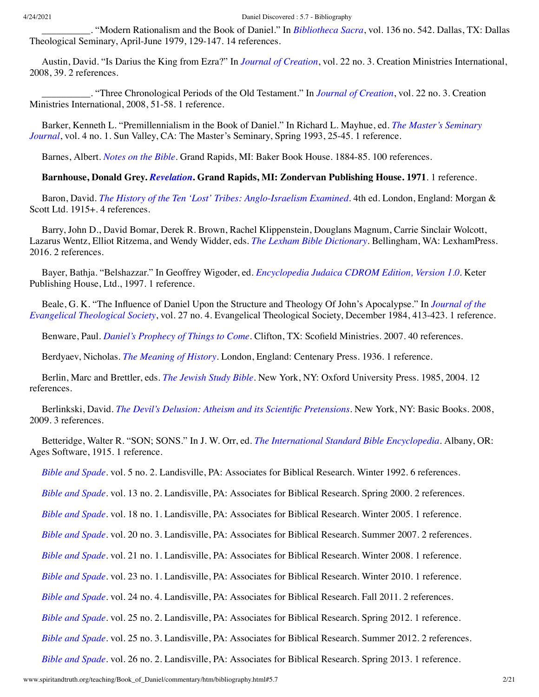\_\_\_\_\_\_\_\_\_\_. "Modern Rationalism and the Book of Daniel." In *[Bibliotheca Sacra](#page-2-1)*, vol. 136 no. 542. Dallas, TX: Dallas Theological Seminary, April-June 1979, 129-147. 14 references.

Austin, David. "Is Darius the King from Ezra?" In *[Journal of Creation](#page-9-0)*, vol. 22 no. 3. Creation Ministries International, 2008, 39. 2 references.

\_\_\_\_\_\_\_\_\_\_. "Three Chronological Periods of the Old Testament." In *[Journal of Creation](#page-9-0)*, vol. 22 no. 3. Creation Ministries International, 2008, 51-58. 1 reference.

[Barker, Kenneth L. "Premillennialism in the Book of Daniel." In Richard L. Mayhue, ed.](#page-11-0) *The Master's Seminary Journal*, vol. 4 no. 1. Sun Valley, CA: The Master's Seminary, Spring 1993, 25-45. 1 reference.

Barnes, Albert. *[Notes on the Bible](http://www.amazon.com/gp/search/ref=sr_adv_b/?search-alias=stripbooks&unfiltered=1&field-title=Notes%20on%20the%20Bible)*. Grand Rapids, MI: Baker Book House. 1884-85. 100 references.

## **Barnhouse, Donald Grey.** *[Revelation](http://www.amazon.com/gp/search/ref=sr_adv_b/?search-alias=stripbooks&unfiltered=1&field-title=Revelation)***. Grand Rapids, MI: Zondervan Publishing House. 1971**. 1 reference.

Baron, David. *[The History of the Ten 'Lost' Tribes: Anglo-Israelism Examined](http://www.amazon.com/gp/search/ref=sr_adv_b/?search-alias=stripbooks&unfiltered=1&field-title=The%20History%20of%20the%20Ten%20%E2%80%98Lost%E2%80%99%20Tribes:%20Anglo-Israelism%20Examined)*. 4th ed. London, England: Morgan & Scott Ltd. 1915<sub>+</sub>. 4 references.

Barry, John D., David Bomar, Derek R. Brown, Rachel Klippenstein, Douglans Magnum, Carrie Sinclair Wolcott, Lazarus Wentz, Elliot Ritzema, and Wendy Widder, eds. *[The Lexham Bible Dictionary](http://www.amazon.com/gp/search/ref=sr_adv_b/?search-alias=stripbooks&unfiltered=1&field-title=The%20Lexham%20Bible%20Dictionary)*. Bellingham, WA: LexhamPress. 2016. 2 references.

Bayer, Bathja. "Belshazzar." In Geoffrey Wigoder, ed. *[Encyclopedia Judaica CDROM Edition, Version 1.0](#page-18-0)*. Keter Publishing House, Ltd., 1997. 1 reference.

[Beale, G. K. "The Influence of Daniel Upon the Structure and Theology Of John's Apocalypse." In](#page-9-1) *Journal of the Evangelical Theological Society*, vol. 27 no. 4. Evangelical Theological Society, December 1984, 413-423. 1 reference.

Benware, Paul. *[Daniel's Prophecy of Things to Come](http://www.amazon.com/gp/search/ref=sr_adv_b/?search-alias=stripbooks&unfiltered=1&field-title=Daniel%E2%80%99s%20Prophecy%20of%20Things%20to%20Come)*. Clifton, TX: Scofield Ministries. 2007. 40 references.

Berdyaev, Nicholas. *[The Meaning of History](http://www.amazon.com/gp/search/ref=sr_adv_b/?search-alias=stripbooks&unfiltered=1&field-title=The%20Meaning%20of%20History)*. London, England: Centenary Press. 1936. 1 reference.

Berlin, Marc and Brettler, eds. *[The Jewish Study Bible](http://www.spiritandtruth.org/id/isbn.htm?0195297512)*. New York, NY: Oxford University Press. 1985, 2004. 12 references.

Berlinkski, David. *[The Devil's Delusion: Atheism and its Scientific Pretensions](http://www.spiritandtruth.org/id/isbn.htm?9780786751471)*. New York, NY: Basic Books. 2008, 2009. 3 references.

Betteridge, Walter R. "SON; SONS." In J. W. Orr, ed. *[The International Standard Bible Encyclopedia](#page-13-0)*. Albany, OR: Ages Software, 1915. 1 reference.

<span id="page-1-3"></span>*[Bible and Spade](http://www.amazon.com/gp/search/ref=sr_adv_b/?search-alias=stripbooks&unfiltered=1&field-title=Bible%20and%20Spade)*. vol. 5 no. 2. Landisville, PA: Associates for Biblical Research. Winter 1992. 6 references.

<span id="page-1-5"></span>*[Bible and Spade](http://www.amazon.com/gp/search/ref=sr_adv_b/?search-alias=stripbooks&unfiltered=1&field-title=Bible%20and%20Spade)*. vol. 13 no. 2. Landisville, PA: Associates for Biblical Research. Spring 2000. 2 references.

<span id="page-1-0"></span>*[Bible and Spade](http://www.amazon.com/gp/search/ref=sr_adv_b/?search-alias=stripbooks&unfiltered=1&field-title=Bible%20and%20Spade)*. vol. 18 no. 1. Landisville, PA: Associates for Biblical Research. Winter 2005. 1 reference.

<span id="page-1-7"></span>*[Bible and Spade](http://www.amazon.com/gp/search/ref=sr_adv_b/?search-alias=stripbooks&unfiltered=1&field-title=Bible%20and%20Spade)*. vol. 20 no. 3. Landisville, PA: Associates for Biblical Research. Summer 2007. 2 references.

<span id="page-1-4"></span>*[Bible and Spade](http://www.amazon.com/gp/search/ref=sr_adv_b/?search-alias=stripbooks&unfiltered=1&field-title=Bible%20and%20Spade)*. vol. 21 no. 1. Landisville, PA: Associates for Biblical Research. Winter 2008. 1 reference.

<span id="page-1-2"></span>*[Bible and Spade](http://www.amazon.com/gp/search/ref=sr_adv_b/?search-alias=stripbooks&unfiltered=1&field-title=Bible%20and%20Spade)*. vol. 23 no. 1. Landisville, PA: Associates for Biblical Research. Winter 2010. 1 reference.

<span id="page-1-8"></span>*[Bible and Spade](http://www.amazon.com/gp/search/ref=sr_adv_b/?search-alias=stripbooks&unfiltered=1&field-title=Bible%20and%20Spade)*. vol. 24 no. 4. Landisville, PA: Associates for Biblical Research. Fall 2011. 2 references.

<span id="page-1-6"></span>*[Bible and Spade](http://www.amazon.com/gp/search/ref=sr_adv_b/?search-alias=stripbooks&unfiltered=1&field-title=Bible%20and%20Spade)*. vol. 25 no. 2. Landisville, PA: Associates for Biblical Research. Spring 2012. 1 reference.

<span id="page-1-1"></span>*[Bible and Spade](http://www.amazon.com/gp/search/ref=sr_adv_b/?search-alias=stripbooks&unfiltered=1&field-title=Bible%20and%20Spade)*. vol. 25 no. 3. Landisville, PA: Associates for Biblical Research. Summer 2012. 2 references.

<span id="page-1-9"></span>*[Bible and Spade](http://www.amazon.com/gp/search/ref=sr_adv_b/?search-alias=stripbooks&unfiltered=1&field-title=Bible%20and%20Spade)*. vol. 26 no. 2. Landisville, PA: Associates for Biblical Research. Spring 2013. 1 reference.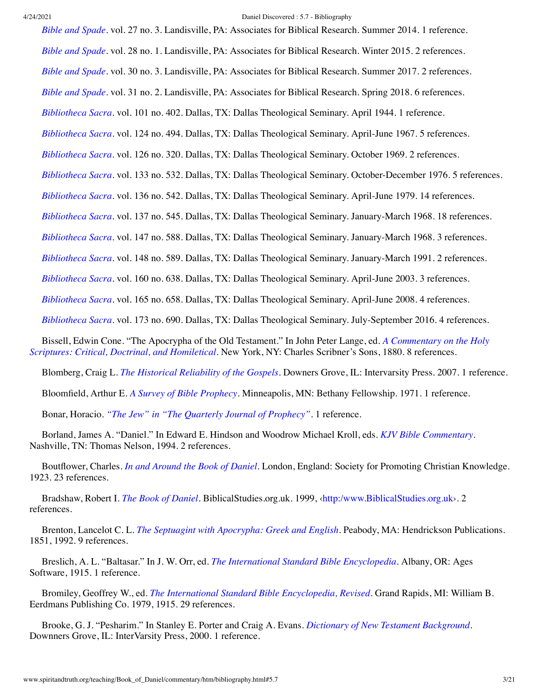<span id="page-2-15"></span><span id="page-2-14"></span><span id="page-2-13"></span><span id="page-2-12"></span><span id="page-2-11"></span><span id="page-2-8"></span><span id="page-2-7"></span><span id="page-2-3"></span><span id="page-2-1"></span>*[Bible and Spade](http://www.amazon.com/gp/search/ref=sr_adv_b/?search-alias=stripbooks&unfiltered=1&field-title=Bible%20and%20Spade)*. vol. 27 no. 3. Landisville, PA: Associates for Biblical Research. Summer 2014. 1 reference. *[Bible and Spade](http://www.amazon.com/gp/search/ref=sr_adv_b/?search-alias=stripbooks&unfiltered=1&field-title=Bible%20and%20Spade)*. vol. 28 no. 1. Landisville, PA: Associates for Biblical Research. Winter 2015. 2 references. *[Bible and Spade](http://www.amazon.com/gp/search/ref=sr_adv_b/?search-alias=stripbooks&unfiltered=1&field-title=Bible%20and%20Spade)*. vol. 30 no. 3. Landisville, PA: Associates for Biblical Research. Summer 2017. 2 references. *[Bible and Spade](http://www.amazon.com/gp/search/ref=sr_adv_b/?search-alias=stripbooks&unfiltered=1&field-title=Bible%20and%20Spade)*. vol. 31 no. 2. Landisville, PA: Associates for Biblical Research. Spring 2018. 6 references. *[Bibliotheca Sacra](http://www.amazon.com/gp/search/ref=sr_adv_b/?search-alias=stripbooks&unfiltered=1&field-title=Bibliotheca%20Sacra)*. vol. 101 no. 402. Dallas, TX: Dallas Theological Seminary. April 1944. 1 reference. *[Bibliotheca Sacra](http://www.amazon.com/gp/search/ref=sr_adv_b/?search-alias=stripbooks&unfiltered=1&field-title=Bibliotheca%20Sacra)*. vol. 124 no. 494. Dallas, TX: Dallas Theological Seminary. April-June 1967. 5 references. *[Bibliotheca Sacra](http://www.amazon.com/gp/search/ref=sr_adv_b/?search-alias=stripbooks&unfiltered=1&field-title=Bibliotheca%20Sacra)*. vol. 126 no. 320. Dallas, TX: Dallas Theological Seminary. October 1969. 2 references. *[Bibliotheca Sacra](http://www.amazon.com/gp/search/ref=sr_adv_b/?search-alias=stripbooks&unfiltered=1&field-title=Bibliotheca%20Sacra)*. vol. 133 no. 532. Dallas, TX: Dallas Theological Seminary. October-December 1976. 5 references. *[Bibliotheca Sacra](http://www.amazon.com/gp/search/ref=sr_adv_b/?search-alias=stripbooks&unfiltered=1&field-title=Bibliotheca%20Sacra)*. vol. 136 no. 542. Dallas, TX: Dallas Theological Seminary. April-June 1979. 14 references. *[Bibliotheca Sacra](http://www.amazon.com/gp/search/ref=sr_adv_b/?search-alias=stripbooks&unfiltered=1&field-title=Bibliotheca%20Sacra)*. vol. 137 no. 545. Dallas, TX: Dallas Theological Seminary. January-March 1968. 18 references. *[Bibliotheca Sacra](http://www.amazon.com/gp/search/ref=sr_adv_b/?search-alias=stripbooks&unfiltered=1&field-title=Bibliotheca%20Sacra)*. vol. 147 no. 588. Dallas, TX: Dallas Theological Seminary. January-March 1968. 3 references. *[Bibliotheca Sacra](http://www.amazon.com/gp/search/ref=sr_adv_b/?search-alias=stripbooks&unfiltered=1&field-title=Bibliotheca%20Sacra)*. vol. 148 no. 589. Dallas, TX: Dallas Theological Seminary. January-March 1991. 2 references. *[Bibliotheca Sacra](http://www.amazon.com/gp/search/ref=sr_adv_b/?search-alias=stripbooks&unfiltered=1&field-title=Bibliotheca%20Sacra)*. vol. 160 no. 638. Dallas, TX: Dallas Theological Seminary. April-June 2003. 3 references. *[Bibliotheca Sacra](http://www.amazon.com/gp/search/ref=sr_adv_b/?search-alias=stripbooks&unfiltered=1&field-title=Bibliotheca%20Sacra)*. vol. 165 no. 658. Dallas, TX: Dallas Theological Seminary. April-June 2008. 4 references. *[Bibliotheca Sacra](http://www.amazon.com/gp/search/ref=sr_adv_b/?search-alias=stripbooks&unfiltered=1&field-title=Bibliotheca%20Sacra)*. vol. 173 no. 690. Dallas, TX: Dallas Theological Seminary. July-September 2016. 4 references. [Bissell, Edwin Cone. "The Apocrypha of the Old Testament." In John Peter Lange, ed.](#page-10-0) *A Commentary on the Holy Scriptures: Critical, Doctrinal, and Homiletical*. New York, NY: Charles Scribner's Sons, 1880. 8 references.

<span id="page-2-10"></span><span id="page-2-9"></span><span id="page-2-6"></span><span id="page-2-5"></span><span id="page-2-2"></span><span id="page-2-0"></span>Blomberg, Craig L. *[The Historical Reliability of the Gospels](http://www.spiritandtruth.org/id/isbn.htm?9780830828074)*. Downers Grove, IL: Intervarsity Press. 2007. 1 reference.

Bloomfield, Arthur E. *[A Survey of Bible Prophecy](http://www.amazon.com/gp/search/ref=sr_adv_b/?search-alias=stripbooks&unfiltered=1&field-title=A%20Survey%20of%20Bible%20Prophecy)*. Minneapolis, MN: Bethany Fellowship. 1971. 1 reference.

Bonar, Horacio. *["The Jew" in "The Quarterly Journal of Prophecy"](http://www.spiritandtruth.org/id/isbn.htm?9780805446272)*. 1 reference.

Borland, James A. "Daniel." In Edward E. Hindson and Woodrow Michael Kroll, eds. *[KJV Bible Commentary](#page-7-0)*. Nashville, TN: Thomas Nelson, 1994. 2 references.

Boutflower, Charles. *[In and Around the Book of Daniel](http://www.amazon.com/gp/search/ref=sr_adv_b/?search-alias=stripbooks&unfiltered=1&field-title=In%20and%20Around%20the%20Book%20of%20Daniel)*. London, England: Society for Promoting Christian Knowledge. 1923. 23 references.

Bradshaw, Robert I. *[The Book of Daniel](http://www.amazon.com/gp/search/ref=sr_adv_b/?search-alias=stripbooks&unfiltered=1&field-title=The%20Book%20of%20Daniel)*. BiblicalStudies.org.uk. 1999, ‹[http:/www.BiblicalStudies.org.uk](http://www.spiritandtruth.org/www.BiblicalStudies.org.uk)›. 2 references.

Brenton, Lancelot C. L. *[The Septuagint with Apocrypha: Greek and English](http://www.amazon.com/gp/search/ref=sr_adv_b/?search-alias=stripbooks&unfiltered=1&field-title=The%20Septuagint%20with%20Apocrypha:%20Greek%20and%20English)*. Peabody, MA: Hendrickson Publications. 1851, 1992. 9 references.

Breslich, A. L. "Baltasar." In J. W. Orr, ed. *[The International Standard Bible Encyclopedia](#page-13-0)*. Albany, OR: Ages Software, 1915. 1 reference.

<span id="page-2-4"></span>Bromiley, Geoffrey W., ed. *[The International Standard Bible Encyclopedia, Revised](http://www.amazon.com/gp/search/ref=sr_adv_b/?search-alias=stripbooks&unfiltered=1&field-title=The%20International%20Standard%20Bible%20Encyclopedia,%20Revised)*. Grand Rapids, MI: William B. Eerdmans Publishing Co. 1979, 1915. 29 references.

Brooke, G. J. "Pesharim." In Stanley E. Porter and Craig A. Evans. *[Dictionary of New Testament Background](#page-14-1)*. Downners Grove, IL: InterVarsity Press, 2000. 1 reference.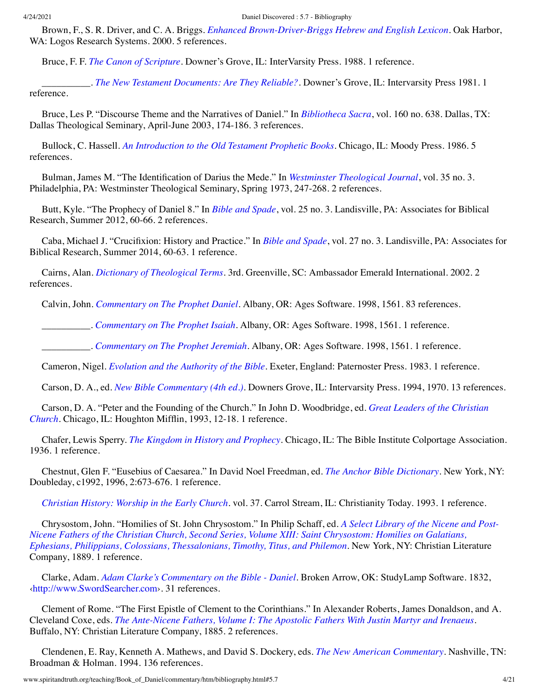Brown, F., S. R. Driver, and C. A. Briggs. *[Enhanced Brown-Driver-Briggs Hebrew and English Lexicon](http://www.amazon.com/gp/search/ref=sr_adv_b/?search-alias=stripbooks&unfiltered=1&field-title=Enhanced%20Brown-Driver-Briggs%20Hebrew%20and%20English%20Lexicon)*. Oak Harbor, WA: Logos Research Systems. 2000. 5 references.

Bruce, F. F. *[The Canon of Scripture](http://www.spiritandtruth.org/id/isbn.htm?083031258X)*. Downer's Grove, IL: InterVarsity Press. 1988. 1 reference.

\_\_\_\_\_\_\_\_\_\_. *[The New Testament Documents: Are They Reliable?](http://www.spiritandtruth.org/id/isbn.htm?0830827366)*. Downer's Grove, IL: Intervarsity Press 1981. 1 reference.

Bruce, Les P. "Discourse Theme and the Narratives of Daniel." In *[Bibliotheca Sacra](#page-2-2)*, vol. 160 no. 638. Dallas, TX: Dallas Theological Seminary, April-June 2003, 174-186. 3 references.

Bullock, C. Hassell. *[An Introduction to the Old Testament Prophetic Books](http://www.spiritandtruth.org/id/isbn.htm?0802441424)*. Chicago, IL: Moody Press. 1986. 5 references.

Bulman, James M. "The Identification of Darius the Mede." In *[Westminster Theological Journal](#page-18-1)*, vol. 35 no. 3. Philadelphia, PA: Westminster Theological Seminary, Spring 1973, 247-268. 2 references.

Butt, Kyle. "The Prophecy of Daniel 8." In *[Bible and Spade](#page-1-1)*, vol. 25 no. 3. Landisville, PA: Associates for Biblical Research, Summer 2012, 60-66. 2 references.

Caba, Michael J. "Crucifixion: History and Practice." In *[Bible and Spade](#page-2-3)*, vol. 27 no. 3. Landisville, PA: Associates for Biblical Research, Summer 2014, 60-63. 1 reference.

Cairns, Alan. *[Dictionary of Theological Terms](http://www.spiritandtruth.org/id/isbn.htm?1889893722)*. 3rd. Greenville, SC: Ambassador Emerald International. 2002. 2 references.

<span id="page-3-2"></span>Calvin, John. *[Commentary on The Prophet Daniel](http://www.amazon.com/gp/search/ref=sr_adv_b/?search-alias=stripbooks&unfiltered=1&field-title=Commentary%20on%20The%20Prophet%20Daniel)*. Albany, OR: Ages Software. 1998, 1561. 83 references.

\_\_\_\_\_\_\_\_\_\_. *[Commentary on The Prophet Isaiah](http://www.amazon.com/gp/search/ref=sr_adv_b/?search-alias=stripbooks&unfiltered=1&field-title=Commentary%20on%20The%20Prophet%20Isaiah)*. Albany, OR: Ages Software. 1998, 1561. 1 reference.

\_\_\_\_\_\_\_\_\_\_. *[Commentary on The Prophet Jeremiah](http://www.amazon.com/gp/search/ref=sr_adv_b/?search-alias=stripbooks&unfiltered=1&field-title=Commentary%20on%20The%20Prophet%20Jeremiah)*. Albany, OR: Ages Software. 1998, 1561. 1 reference.

Cameron, Nigel. *[Evolution and the Authority of the Bible](http://www.spiritandtruth.org/id/isbn.htm?0853643261)*. Exeter, England: Paternoster Press. 1983. 1 reference.

<span id="page-3-0"></span>Carson, D. A., ed. *[New Bible Commentary \(4th ed.\)](http://www.amazon.com/gp/search/ref=sr_adv_b/?search-alias=stripbooks&unfiltered=1&field-title=New%20Bible%20Commentary%20(4th%20ed.))*. Downers Grove, IL: Intervarsity Press. 1994, 1970. 13 references.

[Carson, D. A. "Peter and the Founding of the Church." In John D. Woodbridge, ed.](#page-19-0) *Great Leaders of the Christian Church*. Chicago, IL: Houghton Mifflin, 1993, 12-18. 1 reference.

Chafer, Lewis Sperry. *[The Kingdom in History and Prophecy](http://www.amazon.com/gp/search/ref=sr_adv_b/?search-alias=stripbooks&unfiltered=1&field-title=The%20Kingdom%20in%20History%20and%20Prophecy)*. Chicago, IL: The Bible Institute Colportage Association. 1936. 1 reference.

Chestnut, Glen F. "Eusebius of Caesarea." In David Noel Freedman, ed. *[The Anchor Bible Dictionary](#page-6-1)*. New York, NY: Doubleday, c1992, 1996, 2:673-676. 1 reference.

<span id="page-3-3"></span>*[Christian History: Worship in the Early Church](http://www.amazon.com/gp/search/ref=sr_adv_b/?search-alias=stripbooks&unfiltered=1&field-title=Christian%20History:%20Worship%20in%20the%20Early%20Church)*. vol. 37. Carrol Stream, IL: Christianity Today. 1993. 1 reference.

Chrysostom, John. "Homilies of St. John Chrysostom." In Philip Schaff, ed. *A Select Library of the Nicene and Post-[Nicene Fathers of the Christian Church, Second Series, Volume XIII: Saint Chrysostom: Homilies on Galatians,](#page-15-0) Ephesians, Philippians, Colossians, Thessalonians, Timothy, Titus, and Philemon*. New York, NY: Christian Literature Company, 1889. 1 reference.

Clarke, Adam. *[Adam Clarke's Commentary on the Bible - Daniel](http://www.amazon.com/gp/search/ref=sr_adv_b/?search-alias=stripbooks&unfiltered=1&field-title=Adam%20Clarke%E2%80%99s%20Commentary%20on%20the%20Bible%20-%20Daniel)*. Broken Arrow, OK: StudyLamp Software. 1832, [‹http://www.SwordSearcher.com›](http://www.swordsearcher.com/). 31 references.

Clement of Rome. "The First Epistle of Clement to the Corinthians." In Alexander Roberts, James Donaldson, and A. Cleveland Coxe, eds. *[The Ante-Nicene Fathers, Volume I: The Apostolic Fathers With Justin Martyr and Irenaeus](#page-14-2)*. Buffalo, NY: Christian Literature Company, 1885. 2 references.

<span id="page-3-1"></span>Clendenen, E. Ray, Kenneth A. Mathews, and David S. Dockery, eds. *[The New American Commentary](http://www.amazon.com/gp/search/ref=sr_adv_b/?search-alias=stripbooks&unfiltered=1&field-title=The%20New%20American%20Commentary)*. Nashville, TN: Broadman & Holman. 1994. 136 references.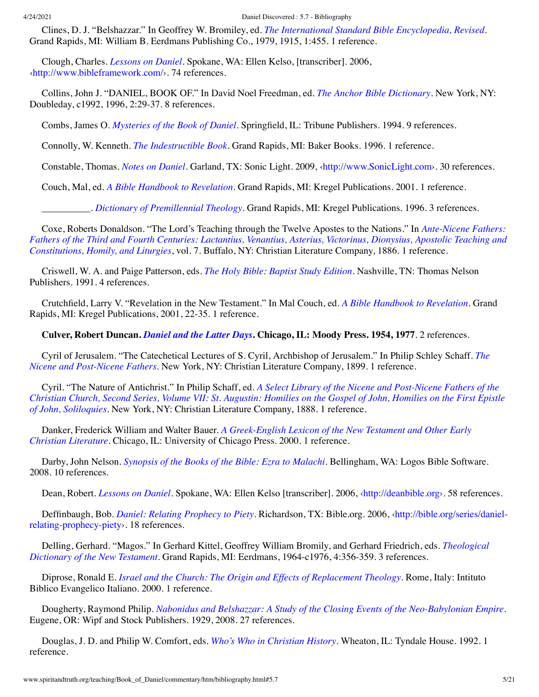Clines, D. J. "Belshazzar." In Geoffrey W. Bromiley, ed. *[The International Standard Bible Encyclopedia, Revised](#page-2-4)*. Grand Rapids, MI: William B. Eerdmans Publishing Co., 1979, 1915, 1:455. 1 reference.

Clough, Charles. *[Lessons on Daniel](http://www.amazon.com/gp/search/ref=sr_adv_b/?search-alias=stripbooks&unfiltered=1&field-title=Lessons%20on%20Daniel)*. Spokane, WA: Ellen Kelso, [transcriber]. 2006, [‹http://www.bibleframework.com/](http://www.bibleframework.com/)›. 74 references.

Collins, John J. "DANIEL, BOOK OF." In David Noel Freedman, ed. *[The Anchor Bible Dictionary](#page-6-1)*. New York, NY: Doubleday, c1992, 1996, 2:29-37. 8 references.

Combs, James O. *[Mysteries of the Book of Daniel](http://www.amazon.com/gp/search/ref=sr_adv_b/?search-alias=stripbooks&unfiltered=1&field-title=Mysteries%20of%20the%20Book%20of%20Daniel)*. Springfield, IL: Tribune Publishers. 1994. 9 references.

Connolly, W. Kenneth. *[The Indestructible Book](http://www.spiritandtruth.org/id/isbn.htm?0801011264)*. Grand Rapids, MI: Baker Books. 1996. 1 reference.

Constable, Thomas. *[Notes on Daniel](http://www.amazon.com/gp/search/ref=sr_adv_b/?search-alias=stripbooks&unfiltered=1&field-title=Notes%20on%20Daniel)*. Garland, TX: Sonic Light. 2009, ‹[http://www.SonicLight.com›](http://www.soniclight.com/). 30 references.

<span id="page-4-1"></span><span id="page-4-0"></span>Couch, Mal, ed. *[A Bible Handbook to Revelation](http://www.amazon.com/gp/search/ref=sr_adv_b/?search-alias=stripbooks&unfiltered=1&field-title=A%20Bible%20Handbook%20to%20Revelation)*. Grand Rapids, MI: Kregel Publications. 2001. 1 reference.

\_\_\_\_\_\_\_\_\_\_. *[Dictionary of Premillennial Theology](http://www.amazon.com/gp/search/ref=sr_adv_b/?search-alias=stripbooks&unfiltered=1&field-title=Dictionary%20of%20Premillennial%20Theology)*. Grand Rapids, MI: Kregel Publications. 1996. 3 references.

Coxe, Roberts Donaldson. "The Lord's Teaching through the Twelve Apostes to the Nations." In *Ante-Nicene Fathers: [Fathers of the Third and Fourth Centuries: Lactantius, Venantius, Asterius, Victorinus, Dionysius, Apostolic Teaching and](#page-0-0) Constitutions, Homily, and Liturgies*, vol. 7. Buffalo, NY: Christian Literature Company, 1886. 1 reference.

Criswell, W. A. and Paige Patterson, eds. *[The Holy Bible: Baptist Study Edition](http://www.amazon.com/gp/search/ref=sr_adv_b/?search-alias=stripbooks&unfiltered=1&field-title=The%20Holy%20Bible:%20Baptist%20Study%20Edition)*. Nashville, TN: Thomas Nelson Publishers. 1991. 4 references.

Crutchfield, Larry V. "Revelation in the New Testament." In Mal Couch, ed. *[A Bible Handbook to Revelation](#page-4-0)*. Grand Rapids, MI: Kregel Publications, 2001, 22-35. 1 reference.

**Culver, Robert Duncan.** *[Daniel and the Latter Days](http://www.spiritandtruth.org/id/isbn.htm?0802417558)***. Chicago, IL: Moody Press. 1954, 1977**. 2 references.

[Cyril of Jerusalem. "The Catechetical Lectures of S. Cyril, Archbishop of Jerusalem." In Philip Schley Schaff.](#page-15-1) *The Nicene and Post-Nicene Fathers*. New York, NY: Christian Literature Company, 1899. 1 reference.

Cyril. "The Nature of Antichrist." In Philip Schaff, ed. *A Select Library of the Nicene and Post-Nicene Fathers of the [Christian Church, Second Series, Volume VII: St. Augustin: Homilies on the Gospel of John, Homilies on the First Epistle](#page-15-2) of John, Soliloquies*. New York, NY: Christian Literature Company, 1888. 1 reference.

Danker, Frederick William and Walter Bauer. *[A Greek-English Lexicon of the New Testament and Other Early](http://www.amazon.com/gp/search/ref=sr_adv_b/?search-alias=stripbooks&unfiltered=1&field-title=A%20Greek-English%20Lexicon%20of%20the%20New%20Testament%20and%20Other%20Early%20Christian%20Literature) Christian Literature*. Chicago, IL: University of Chicago Press. 2000. 1 reference.

Darby, John Nelson. *[Synopsis of the Books of the Bible: Ezra to Malachi](http://www.amazon.com/gp/search/ref=sr_adv_b/?search-alias=stripbooks&unfiltered=1&field-title=Synopsis%20of%20the%20Books%20of%20the%20Bible:%20Ezra%20to%20Malachi)*. Bellingham, WA: Logos Bible Software. 2008. 10 references.

Dean, Robert. *[Lessons on Daniel](http://www.amazon.com/gp/search/ref=sr_adv_b/?search-alias=stripbooks&unfiltered=1&field-title=Lessons%20on%20Daniel)*. Spokane, WA: Ellen Kelso [transcriber]. 2006, [‹http://deanbible.org›](http://deanbible.org/). 58 references.

Deffinbaugh, Bob. *[Daniel: Relating Prophecy to Piety](http://www.amazon.com/gp/search/ref=sr_adv_b/?search-alias=stripbooks&unfiltered=1&field-title=Daniel:%20Relating%20Prophecy%20to%20Piety)*[. Richardson, TX: Bible.org. 2006, ‹http://bible.org/series/daniel](http://bible.org/series/daniel-relating-prophecy-piety)relating-prophecy-piety›. 18 references.

[Delling, Gerhard. "Magos." In Gerhard Kittel, Geoffrey William Bromily, and Gerhard Friedrich, eds.](#page-10-1) *Theological Dictionary of the New Testament*. Grand Rapids, MI: Eerdmans, 1964-c1976, 4:356-359. 3 references.

Diprose, Ronald E. *[Israel and the Church: The Origin and Effects of Replacement Theology](http://www.amazon.com/gp/search/ref=sr_adv_b/?search-alias=stripbooks&unfiltered=1&field-title=Israel%20and%20the%20Church:%20The%20Origin%20and%20Effects%20of%20Replacement%20Theology)*. Rome, Italy: Intituto Biblico Evangelico Italiano. 2000. 1 reference.

Dougherty, Raymond Philip. *[Nabonidus and Belshazzar: A Study of the Closing Events of the Neo-Babylonian Empire](http://www.spiritandtruth.org/id/isbn.htm?9781556359569)*. Eugene, OR: Wipf and Stock Publishers. 1929, 2008. 27 references.

<span id="page-4-2"></span>Douglas, J. D. and Philip W. Comfort, eds. *[Who's Who in Christian History](http://www.amazon.com/gp/search/ref=sr_adv_b/?search-alias=stripbooks&unfiltered=1&field-title=Who%E2%80%99s%20Who%20in%20Christian%20History)*. Wheaton, IL: Tyndale House. 1992. 1 reference.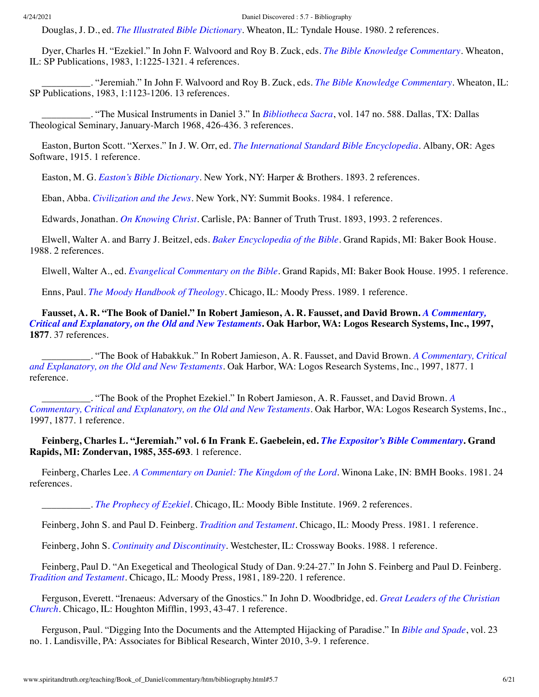<span id="page-5-3"></span>Douglas, J. D., ed. *[The Illustrated Bible Dictionary](http://www.spiritandtruth.org/id/isbn.htm?0842315667)*. Wheaton, IL: Tyndale House. 1980. 2 references.

Dyer, Charles H. "Ezekiel." In John F. Walvoord and Roy B. Zuck, eds. *[The Bible Knowledge Commentary](#page-17-0)*. Wheaton, IL: SP Publications, 1983, 1:1225-1321. 4 references.

\_\_\_\_\_\_\_\_\_\_. "Jeremiah." In John F. Walvoord and Roy B. Zuck, eds. *[The Bible Knowledge Commentary](#page-17-0)*. Wheaton, IL: SP Publications, 1983, 1:1123-1206. 13 references.

\_\_\_\_\_\_\_\_\_\_. "The Musical Instruments in Daniel 3." In *[Bibliotheca Sacra](#page-2-5)*, vol. 147 no. 588. Dallas, TX: Dallas Theological Seminary, January-March 1968, 426-436. 3 references.

Easton, Burton Scott. "Xerxes." In J. W. Orr, ed. *[The International Standard Bible Encyclopedia](#page-13-0)*. Albany, OR: Ages Software, 1915. 1 reference.

Easton, M. G. *[Easton's Bible Dictionary](http://www.amazon.com/gp/search/ref=sr_adv_b/?search-alias=stripbooks&unfiltered=1&field-title=Easton%E2%80%99s%20Bible%20Dictionary)*. New York, NY: Harper & Brothers. 1893. 2 references.

Eban, Abba. *[Civilization and the Jews](http://www.amazon.com/gp/search/ref=sr_adv_b/?search-alias=stripbooks&unfiltered=1&field-title=Civilization%20and%20the%20Jews)*. New York, NY: Summit Books. 1984. 1 reference.

Edwards, Jonathan. *[On Knowing Christ](http://www.spiritandtruth.org/id/isbn.htm?0851515835)*. Carlisle, PA: Banner of Truth Trust. 1893, 1993. 2 references.

Elwell, Walter A. and Barry J. Beitzel, eds. *[Baker Encyclopedia of the Bible](http://www.amazon.com/gp/search/ref=sr_adv_b/?search-alias=stripbooks&unfiltered=1&field-title=Baker%20Encyclopedia%20of%20the%20Bible)*. Grand Rapids, MI: Baker Book House. 1988. 2 references.

<span id="page-5-2"></span>Elwell, Walter A., ed. *[Evangelical Commentary on the Bible](http://www.amazon.com/gp/search/ref=sr_adv_b/?search-alias=stripbooks&unfiltered=1&field-title=Evangelical%20Commentary%20on%20the%20Bible)*. Grand Rapids, MI: Baker Book House. 1995. 1 reference.

Enns, Paul. *[The Moody Handbook of Theology](http://www.amazon.com/gp/search/ref=sr_adv_b/?search-alias=stripbooks&unfiltered=1&field-title=The%20Moody%20Handbook%20of%20Theology)*. Chicago, IL: Moody Press. 1989. 1 reference.

**[Fausset, A. R. "The Book of Daniel." In Robert Jamieson, A. R. Fausset, and David Brown.](#page-8-0)** *A Commentary, Critical and Explanatory, on the Old and New Testaments***. Oak Harbor, WA: Logos Research Systems, Inc., 1997, 1877**. 37 references.

[\\_\\_\\_\\_\\_\\_\\_\\_\\_\\_. "The Book of Habakkuk." In Robert Jamieson, A. R. Fausset, and David Brown.](#page-8-0) *A Commentary, Critical and Explanatory, on the Old and New Testaments*. Oak Harbor, WA: Logos Research Systems, Inc., 1997, 1877. 1 reference.

[\\_\\_\\_\\_\\_\\_\\_\\_\\_\\_. "The Book of the Prophet Ezekiel." In Robert Jamieson, A. R. Fausset, and David Brown.](#page-8-0) *A Commentary, Critical and Explanatory, on the Old and New Testaments*. Oak Harbor, WA: Logos Research Systems, Inc., 1997, 1877. 1 reference.

**Feinberg, Charles L. "Jeremiah." vol. 6 In Frank E. Gaebelein, ed.** *[The Expositor's Bible Commentary](#page-6-0)***. Grand Rapids, MI: Zondervan, 1985, 355-693**. 1 reference.

Feinberg, Charles Lee. *[A Commentary on Daniel: The Kingdom of the Lord](http://www.spiritandtruth.org/id/isbn.htm?0884691578)*. Winona Lake, IN: BMH Books. 1981. 24 references.

\_\_\_\_\_\_\_\_\_\_. *[The Prophecy of Ezekiel](http://www.spiritandtruth.org/id/isbn.htm?0802469086)*. Chicago, IL: Moody Bible Institute. 1969. 2 references.

<span id="page-5-0"></span>Feinberg, John S. and Paul D. Feinberg. *[Tradition and Testament](http://www.spiritandtruth.org/id/isbn.htm?0802425445)*. Chicago, IL: Moody Press. 1981. 1 reference.

<span id="page-5-1"></span>Feinberg, John S. *[Continuity and Discontinuity](http://www.amazon.com/gp/search/ref=sr_adv_b/?search-alias=stripbooks&unfiltered=1&field-title=Continuity%20and%20Discontinuity)*. Westchester, IL: Crossway Books. 1988. 1 reference.

Feinberg, Paul D. "An Exegetical and Theological Study of Dan. 9:24-27." In John S. Feinberg and Paul D. Feinberg. *[Tradition and Testament](#page-5-0)*. Chicago, IL: Moody Press, 1981, 189-220. 1 reference.

[Ferguson, Everett. "Irenaeus: Adversary of the Gnostics." In John D. Woodbridge, ed.](#page-19-0) *Great Leaders of the Christian Church*. Chicago, IL: Houghton Mifflin, 1993, 43-47. 1 reference.

Ferguson, Paul. "Digging Into the Documents and the Attempted Hijacking of Paradise." In *[Bible and Spade](#page-1-2)*, vol. 23 no. 1. Landisville, PA: Associates for Biblical Research, Winter 2010, 3-9. 1 reference.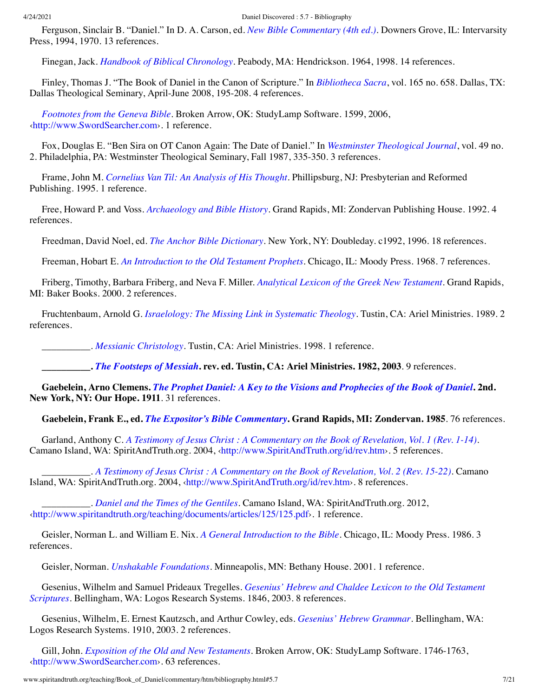Ferguson, Sinclair B. "Daniel." In D. A. Carson, ed. *[New Bible Commentary \(4th ed.\)](#page-3-0)*. Downers Grove, IL: Intervarsity Press, 1994, 1970. 13 references.

Finegan, Jack. *[Handbook of Biblical Chronology](http://www.spiritandtruth.org/id/isbn.htm?1565631439)*. Peabody, MA: Hendrickson. 1964, 1998. 14 references.

Finley, Thomas J. "The Book of Daniel in the Canon of Scripture." In *[Bibliotheca Sacra](#page-2-6)*, vol. 165 no. 658. Dallas, TX: Dallas Theological Seminary, April-June 2008, 195-208. 4 references.

*[Footnotes from the Geneva Bible](http://www.amazon.com/gp/search/ref=sr_adv_b/?search-alias=stripbooks&unfiltered=1&field-title=Footnotes%20from%20the%20Geneva%20Bible)*. Broken Arrow, OK: StudyLamp Software. 1599, 2006, [‹http://www.SwordSearcher.com›](http://www.swordsearcher.com/). 1 reference.

Fox, Douglas E. "Ben Sira on OT Canon Again: The Date of Daniel." In *[Westminster Theological Journal](#page-18-2)*, vol. 49 no. 2. Philadelphia, PA: Westminster Theological Seminary, Fall 1987, 335-350. 3 references.

Frame, John M. *[Cornelius Van Til: An Analysis of His Thought](http://www.spiritandtruth.org/id/isbn.htm?9780875522456)*. Phillipsburg, NJ: Presbyterian and Reformed Publishing. 1995. 1 reference.

Free, Howard P. and Voss. *[Archaeology and Bible History](http://www.spiritandtruth.org/id/isbn.htm?0310474614)*. Grand Rapids, MI: Zondervan Publishing House. 1992. 4 references.

<span id="page-6-1"></span>Freedman, David Noel, ed. *[The Anchor Bible Dictionary](http://www.amazon.com/gp/search/ref=sr_adv_b/?search-alias=stripbooks&unfiltered=1&field-title=The%20Anchor%20Bible%20Dictionary)*. New York, NY: Doubleday. c1992, 1996. 18 references.

Freeman, Hobart E. *[An Introduction to the Old Testament Prophets](http://www.amazon.com/gp/search/ref=sr_adv_b/?search-alias=stripbooks&unfiltered=1&field-title=An%20Introduction%20to%20the%20Old%20Testament%20Prophets)*. Chicago, IL: Moody Press. 1968. 7 references.

Friberg, Timothy, Barbara Friberg, and Neva F. Miller. *[Analytical Lexicon of the Greek New Testament](http://www.amazon.com/gp/search/ref=sr_adv_b/?search-alias=stripbooks&unfiltered=1&field-title=Analytical%20Lexicon%20of%20the%20Greek%20New%20Testament)*. Grand Rapids, MI: Baker Books. 2000. 2 references.

Fruchtenbaum, Arnold G. *[Israelology: The Missing Link in Systematic Theology](http://www.amazon.com/gp/search/ref=sr_adv_b/?search-alias=stripbooks&unfiltered=1&field-title=Israelology:%20The%20Missing%20Link%20in%20Systematic%20Theology)*. Tustin, CA: Ariel Ministries. 1989. 2 references.

\_\_\_\_\_\_\_\_\_\_. *[Messianic Christology](http://www.amazon.com/gp/search/ref=sr_adv_b/?search-alias=stripbooks&unfiltered=1&field-title=Messianic%20Christology)*. Tustin, CA: Ariel Ministries. 1998. 1 reference.

**\_\_\_\_\_\_\_\_\_\_.** *[The Footsteps of Messiah](http://www.spiritandtruth.org/id/isbn.htm?0914863096)***. rev. ed. Tustin, CA: Ariel Ministries. 1982, 2003**. 9 references.

**Gaebelein, Arno Clemens.** *[The Prophet Daniel: A Key to the Visions and Prophecies of the Book of Daniel](http://www.amazon.com/gp/search/ref=sr_adv_b/?search-alias=stripbooks&unfiltered=1&field-title=The%20Prophet%20Daniel:%20A%20Key%20to%20the%20Visions%20and%20Prophecies%20of%20the%20Book%20of%20Daniel)***. 2nd. New York, NY: Our Hope. 1911**. 31 references.

<span id="page-6-0"></span>**Gaebelein, Frank E., ed.** *[The Expositor's Bible Commentary](http://www.spiritandtruth.org/id/isbn.htm?0310364906)***. Grand Rapids, MI: Zondervan. 1985**. 76 references.

Garland, Anthony C. *[A Testimony of Jesus Christ : A Commentary on the Book of Revelation, Vol. 1 \(Rev. 1-14\)](http://www.spiritandtruth.org/id/isbn.htm?9780978886417)*. Camano Island, WA: SpiritAndTruth.org. 2004, [‹http://www.SpiritAndTruth.org/id/rev.htm](http://www.spiritandtruth.org/id/rev.htm)›. 5 references.

\_\_\_\_\_\_\_\_\_\_. *[A Testimony of Jesus Christ : A Commentary on the Book of Revelation, Vol. 2 \(Rev. 15-22\)](http://www.spiritandtruth.org/id/isbn.htm?9780978886424)*. Camano Island, WA: SpiritAndTruth.org. 2004, ‹[http://www.SpiritAndTruth.org/id/rev.htm›](http://www.spiritandtruth.org/id/rev.htm). 8 references.

\_\_\_\_\_\_\_\_\_\_. *[Daniel and the Times of the Gentiles](http://www.amazon.com/gp/search/ref=sr_adv_b/?search-alias=stripbooks&unfiltered=1&field-title=Daniel%20and%20the%20Times%20of%20the%20Gentiles)*. Camano Island, WA: SpiritAndTruth.org. 2012, [‹http://www.spiritandtruth.org/teaching/documents/articles/125/125.pdf›](http://www.spiritandtruth.org/teaching/documents/articles/125/125.pdf). 1 reference.

Geisler, Norman L. and William E. Nix. *[A General Introduction to the Bible](http://www.amazon.com/gp/search/ref=sr_adv_b/?search-alias=stripbooks&unfiltered=1&field-title=A%20General%20Introduction%20to%20the%20Bible)*. Chicago, IL: Moody Press. 1986. 3 references.

Geisler, Norman. *[Unshakable Foundations](http://www.spiritandtruth.org/id/isbn.htm?0764224085)*. Minneapolis, MN: Bethany House. 2001. 1 reference.

Gesenius, Wilhelm and Samuel Prideaux Tregelles. *Gesenius' Hebrew and Chaldee Lexicon to the Old Testament Scriptures*[. Bellingham, WA: Logos Research Systems. 1846, 2003. 8 references.](http://www.amazon.com/gp/search/ref=sr_adv_b/?search-alias=stripbooks&unfiltered=1&field-title=Gesenius%E2%80%99%20Hebrew%20and%20Chaldee%20Lexicon%20to%20the%20Old%20Testament%20Scriptures)

Gesenius, Wilhelm, E. Ernest Kautzsch, and Arthur Cowley, eds. *[Gesenius' Hebrew Grammar](http://www.amazon.com/gp/search/ref=sr_adv_b/?search-alias=stripbooks&unfiltered=1&field-title=Gesenius%E2%80%99%20Hebrew%20Grammar)*. Bellingham, WA: Logos Research Systems. 1910, 2003. 2 references.

Gill, John. *[Exposition of the Old and New Testaments](http://www.amazon.com/gp/search/ref=sr_adv_b/?search-alias=stripbooks&unfiltered=1&field-title=Exposition%20of%20the%20Old%20and%20New%20Testaments)*. Broken Arrow, OK: StudyLamp Software. 1746-1763, [‹http://www.SwordSearcher.com›](http://www.swordsearcher.com/). 63 references.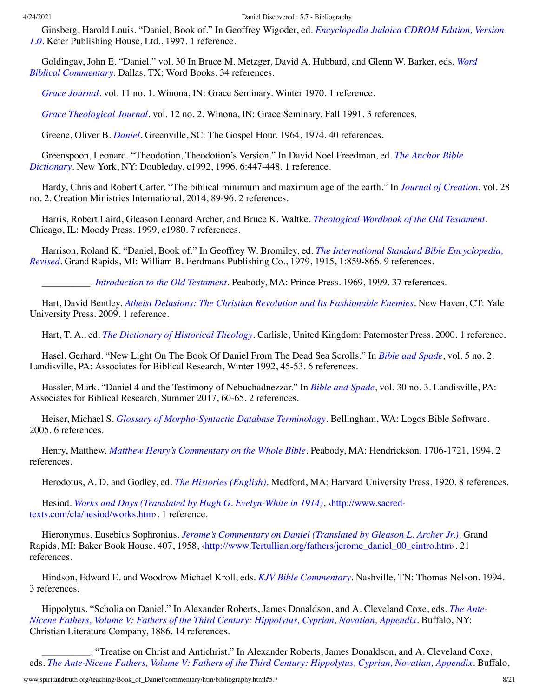[Ginsberg, Harold Louis. "Daniel, Book of." In Geoffrey Wigoder, ed.](#page-18-0) *Encyclopedia Judaica CDROM Edition, Version 1.0*. Keter Publishing House, Ltd., 1997. 1 reference.

[Goldingay, John E. "Daniel." vol. 30 In Bruce M. Metzger, David A. Hubbard, and Glenn W. Barker, eds.](#page-12-0) *Word Biblical Commentary*. Dallas, TX: Word Books. 34 references.

<span id="page-7-3"></span>*[Grace Journal](http://www.amazon.com/gp/search/ref=sr_adv_b/?search-alias=stripbooks&unfiltered=1&field-title=Grace%20Journal)*. vol. 11 no. 1. Winona, IN: Grace Seminary. Winter 1970. 1 reference.

<span id="page-7-2"></span>*[Grace Theological Journal](http://www.amazon.com/gp/search/ref=sr_adv_b/?search-alias=stripbooks&unfiltered=1&field-title=Grace%20Theological%20Journal)*. vol. 12 no. 2. Winona, IN: Grace Seminary. Fall 1991. 3 references.

Greene, Oliver B. *[Daniel](http://www.amazon.com/gp/search/ref=sr_adv_b/?search-alias=stripbooks&unfiltered=1&field-title=Daniel)*. Greenville, SC: The Gospel Hour. 1964, 1974. 40 references.

[Greenspoon, Leonard. "Theodotion, Theodotion's Version." In David Noel Freedman, ed.](#page-6-1) *The Anchor Bible Dictionary*. New York, NY: Doubleday, c1992, 1996, 6:447-448. 1 reference.

Hardy, Chris and Robert Carter. "The biblical minimum and maximum age of the earth." In *[Journal of Creation](#page-9-2)*, vol. 28 no. 2. Creation Ministries International, 2014, 89-96. 2 references.

Harris, Robert Laird, Gleason Leonard Archer, and Bruce K. Waltke. *[Theological Wordbook of the Old Testament](http://www.amazon.com/gp/search/ref=sr_adv_b/?search-alias=stripbooks&unfiltered=1&field-title=Theological%20Wordbook%20of%20the%20Old%20Testament)*. Chicago, IL: Moody Press. 1999, c1980. 7 references.

Harrison, Roland K. "Daniel, Book of." In Geoffrey W. Bromiley, ed. *The International Standard Bible Encyclopedia, Revised*[. Grand Rapids, MI: William B. Eerdmans Publishing Co., 1979, 1915, 1:859-866. 9 references.](#page-2-4)

\_\_\_\_\_\_\_\_\_\_. *[Introduction to the Old Testament](http://www.amazon.com/gp/search/ref=sr_adv_b/?search-alias=stripbooks&unfiltered=1&field-title=Introduction%20to%20the%20Old%20Testament)*. Peabody, MA: Prince Press. 1969, 1999. 37 references.

Hart, David Bentley. *[Atheist Delusions: The Christian Revolution and Its Fashionable Enemies](http://www.spiritandtruth.org/id/isbn.htm?9780300111903)*. New Haven, CT: Yale University Press. 2009. 1 reference.

<span id="page-7-1"></span>Hart, T. A., ed. *[The Dictionary of Historical Theology](http://www.amazon.com/gp/search/ref=sr_adv_b/?search-alias=stripbooks&unfiltered=1&field-title=The%20Dictionary%20of%20Historical%20Theology)*. Carlisle, United Kingdom: Paternoster Press. 2000. 1 reference.

Hasel, Gerhard. "New Light On The Book Of Daniel From The Dead Sea Scrolls." In *[Bible and Spade](#page-1-3)*, vol. 5 no. 2. Landisville, PA: Associates for Biblical Research, Winter 1992, 45-53. 6 references.

Hassler, Mark. "Daniel 4 and the Testimony of Nebuchadnezzar." In *[Bible and Spade](#page-2-7)*, vol. 30 no. 3. Landisville, PA: Associates for Biblical Research, Summer 2017, 60-65. 2 references.

Heiser, Michael S. *[Glossary of Morpho-Syntactic Database Terminology](http://www.amazon.com/gp/search/ref=sr_adv_b/?search-alias=stripbooks&unfiltered=1&field-title=Glossary%20of%20Morpho-Syntactic%20Database%20Terminology)*. Bellingham, WA: Logos Bible Software. 2005. 6 references.

Henry, Matthew. *[Matthew Henry's Commentary on the Whole Bible](http://www.amazon.com/gp/search/ref=sr_adv_b/?search-alias=stripbooks&unfiltered=1&field-title=Matthew%20Henry%E2%80%99s%20Commentary%20on%20the%20Whole%20Bible)*. Peabody, MA: Hendrickson. 1706-1721, 1994. 2 references.

Herodotus, A. D. and Godley, ed. *[The Histories \(English\)](http://www.amazon.com/gp/search/ref=sr_adv_b/?search-alias=stripbooks&unfiltered=1&field-title=The%20Histories%20(English))*. Medford, MA: Harvard University Press. 1920. 8 references.

Hesiod. *[Works and Days \(Translated by Hugh G. Evelyn-White in 1914\)](http://www.sacred-texts.com/cla/hesiod/works.htm)*, ‹http://www.sacredtexts.com/cla/hesiod/works.htm›. 1 reference.

Hieronymus, Eusebius Sophronius. *[Jerome's Commentary on Daniel \(Translated by Gleason L. Archer Jr.\)](http://www.amazon.com/gp/search/ref=sr_adv_b/?search-alias=stripbooks&unfiltered=1&field-title=Jerome%E2%80%99s%20Commentary%20on%20Daniel%20(Translated%20by%20Gleason%20L.%20Archer%20Jr.))*. Grand Rapids, MI: Baker Book House. 407, 1958, ‹[http://www.Tertullian.org/fathers/jerome\\_daniel\\_00\\_eintro.htm›](http://www.tertullian.org/fathers/jerome_daniel_00_eintro.htm). 21 references.

<span id="page-7-0"></span>Hindson, Edward E. and Woodrow Michael Kroll, eds. *[KJV Bible Commentary](http://www.amazon.com/gp/search/ref=sr_adv_b/?search-alias=stripbooks&unfiltered=1&field-title=KJV%20Bible%20Commentary)*. Nashville, TN: Thomas Nelson. 1994. 3 references.

[Hippolytus. "Scholia on Daniel." In Alexander Roberts, James Donaldson, and A. Cleveland Coxe, eds.](#page-14-3) *The Ante-Nicene Fathers, Volume V: Fathers of the Third Century: Hippolytus, Cyprian, Novatian, Appendix*. Buffalo, NY: Christian Literature Company, 1886. 14 references.

\_\_\_\_\_\_\_\_\_\_. "Treatise on Christ and Antichrist." In Alexander Roberts, James Donaldson, and A. Cleveland Coxe, eds. *[The Ante-Nicene Fathers, Volume V: Fathers of the Third Century: Hippolytus, Cyprian, Novatian, Appendix](#page-14-3)*. Buffalo,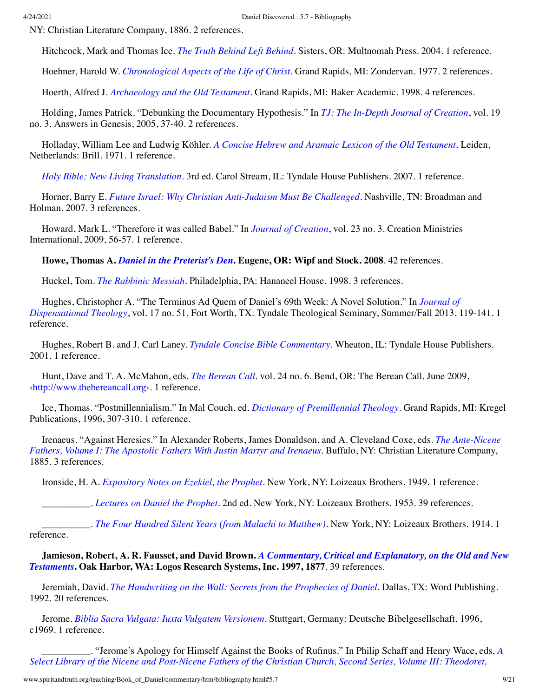NY: Christian Literature Company, 1886. 2 references.

Hitchcock, Mark and Thomas Ice. *[The Truth Behind Left Behind](http://www.amazon.com/gp/search/ref=sr_adv_b/?search-alias=stripbooks&unfiltered=1&field-title=The%20Truth%20Behind%20Left%20Behind)*. Sisters, OR: Multnomah Press. 2004. 1 reference.

Hoehner, Harold W. *[Chronological Aspects of the Life of Christ](http://www.spiritandtruth.org/id/isbn.htm?0310262119)*. Grand Rapids, MI: Zondervan. 1977. 2 references.

Hoerth, Alfred J. *[Archaeology and the Old Testament](http://www.spiritandtruth.org/id/isbn.htm?9780801011290)*. Grand Rapids, MI: Baker Academic. 1998. 4 references.

Holding, James Patrick. "Debunking the Documentary Hypothesis." In *[TJ: The In-Depth Journal of Creation](#page-16-0)*, vol. 19 no. 3. Answers in Genesis, 2005, 37-40. 2 references.

Holladay, William Lee and Ludwig Köhler. *[A Concise Hebrew and Aramaic Lexicon of the Old Testament](http://www.amazon.com/gp/search/ref=sr_adv_b/?search-alias=stripbooks&unfiltered=1&field-title=A%20Concise%20Hebrew%20and%20Aramaic%20Lexicon%20of%20the%20Old%20Testament)*. Leiden, Netherlands: Brill. 1971. 1 reference.

*[Holy Bible: New Living Translation](http://www.amazon.com/gp/search/ref=sr_adv_b/?search-alias=stripbooks&unfiltered=1&field-title=Holy%20Bible:%20New%20Living%20Translation)*. 3rd ed. Carol Stream, IL: Tyndale House Publishers. 2007. 1 reference.

Horner, Barry E. *[Future Israel: Why Christian Anti-Judaism Must Be Challenged](http://www.spiritandtruth.org/id/isbn.htm?9780805446272)*. Nashville, TN: Broadman and Holman. 2007. 3 references.

Howard, Mark L. "Therefore it was called Babel." In *[Journal of Creation](#page-9-3)*, vol. 23 no. 3. Creation Ministries International, 2009, 56-57. 1 reference.

**Howe, Thomas A.** *[Daniel in the Preterist's Den](http://www.spiritandtruth.org/id/isbn.htm?9781556352737)***. Eugene, OR: Wipf and Stock. 2008**. 42 references.

Huckel, Tom. *[The Rabbinic Messiah](http://www.amazon.com/gp/search/ref=sr_adv_b/?search-alias=stripbooks&unfiltered=1&field-title=The%20Rabbinic%20Messiah)*. Philadelphia, PA: Hananeel House. 1998. 3 references.

[Hughes, Christopher A. "The Terminus Ad Quem of Daniel's 69th Week: A Novel Solution." In](#page-9-4) *Journal of Dispensational Theology*, vol. 17 no. 51. Fort Worth, TX: Tyndale Theological Seminary, Summer/Fall 2013, 119-141. 1 reference.

Hughes, Robert B. and J. Carl Laney. *[Tyndale Concise Bible Commentary](http://www.amazon.com/gp/search/ref=sr_adv_b/?search-alias=stripbooks&unfiltered=1&field-title=Tyndale%20Concise%20Bible%20Commentary)*. Wheaton, IL: Tyndale House Publishers. 2001. 1 reference.

Hunt, Dave and T. A. McMahon, eds. *[The Berean Call](http://www.amazon.com/gp/search/ref=sr_adv_b/?search-alias=stripbooks&unfiltered=1&field-title=The%20Berean%20Call)*. vol. 24 no. 6. Bend, OR: The Berean Call. June 2009, [‹http://www.thebereancall.org›](http://www.thebereancall.org/). 1 reference.

Ice, Thomas. "Postmillennialism." In Mal Couch, ed. *[Dictionary of Premillennial Theology](#page-4-1)*. Grand Rapids, MI: Kregel Publications, 1996, 307-310. 1 reference.

[Irenaeus. "Against Heresies." In Alexander Roberts, James Donaldson, and A. Cleveland Coxe, eds.](#page-14-2) *The Ante-Nicene Fathers, Volume I: The Apostolic Fathers With Justin Martyr and Irenaeus*. Buffalo, NY: Christian Literature Company, 1885. 3 references.

Ironside, H. A. *[Expository Notes on Ezekiel, the Prophet](http://www.amazon.com/gp/search/ref=sr_adv_b/?search-alias=stripbooks&unfiltered=1&field-title=Expository%20Notes%20on%20Ezekiel,%20the%20Prophet)*. New York, NY: Loizeaux Brothers. 1949. 1 reference.

\_\_\_\_\_\_\_\_\_\_. *[Lectures on Daniel the Prophet](http://www.amazon.com/gp/search/ref=sr_adv_b/?search-alias=stripbooks&unfiltered=1&field-title=Lectures%20on%20Daniel%20the%20Prophet)*. 2nd ed. New York, NY: Loizeaux Brothers. 1953. 39 references.

\_\_\_\_\_\_\_\_\_\_. *[The Four Hundred Silent Years \(from Malachi to Matthew\)](http://www.amazon.com/gp/search/ref=sr_adv_b/?search-alias=stripbooks&unfiltered=1&field-title=The%20Four%20Hundred%20Silent%20Years%20(from%20Malachi%20to%20Matthew))*. New York, NY: Loizeaux Brothers. 1914. 1 reference.

<span id="page-8-0"></span>**Jamieson, Robert, A. R. Fausset, and David Brown.** *[A Commentary, Critical and Explanatory, on the Old and New](http://www.amazon.com/gp/search/ref=sr_adv_b/?search-alias=stripbooks&unfiltered=1&field-title=A%20Commentary,%20Critical%20and%20Explanatory,%20on%20the%20Old%20and%20New%20Testaments) Testaments***. Oak Harbor, WA: Logos Research Systems, Inc. 1997, 1877**. 39 references.

Jeremiah, David. *[The Handwriting on the Wall: Secrets from the Prophecies of Daniel](http://www.spiritandtruth.org/id/isbn.htm?084993365X)*. Dallas, TX: Word Publishing. 1992. 20 references.

Jerome. *[Biblia Sacra Vulgata: Iuxta Vulgatem Versionem](http://www.amazon.com/gp/search/ref=sr_adv_b/?search-alias=stripbooks&unfiltered=1&field-title=Biblia%20Sacra%20Vulgata:%20Iuxta%20Vulgatem%20Versionem)*. Stuttgart, Germany: Deutsche Bibelgesellschaft. 1996, c1969. 1 reference.

\_\_\_\_\_\_\_\_\_\_. "Jerome's Apology for Himself Against the Books of Rufinus." In Philip Schaff and Henry Wace, eds. *A [Select Library of the Nicene and Post-Nicene Fathers of the Christian Church, Second Series, Volume III: Theodoret,](#page-15-3)*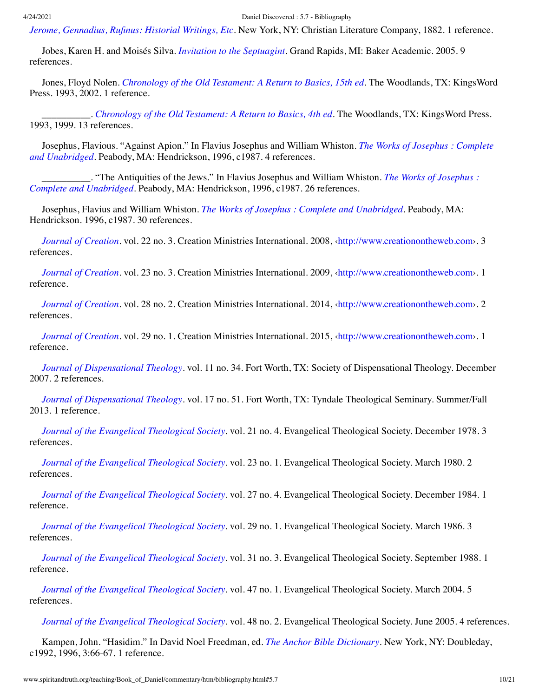*Jerome, Gennadius, Rufinus: Historial Writings, Etc*[. New York, NY: Christian Literature Company, 1882. 1 reference.](#page-15-3)

Jobes, Karen H. and Moisés Silva. *[Invitation to the Septuagint](http://www.spiritandtruth.org/id/isbn.htm?080103115X)*. Grand Rapids, MI: Baker Academic. 2005. 9 references.

Jones, Floyd Nolen. *[Chronology of the Old Testament: A Return to Basics, 15th ed](http://www.spiritandtruth.org/id/isbn.htm?0970032838)*. The Woodlands, TX: KingsWord Press. 1993, 2002. 1 reference.

\_\_\_\_\_\_\_\_\_\_. *[Chronology of the Old Testament: A Return to Basics, 4th ed](http://www.spiritandtruth.org/id/isbn.htm?097003282X)*. The Woodlands, TX: KingsWord Press. 1993, 1999. 13 references.

[Josephus, Flavious. "Against Apion." In Flavius Josephus and William Whiston.](#page-9-5) *The Works of Josephus : Complete and Unabridged*. Peabody, MA: Hendrickson, 1996, c1987. 4 references.

[\\_\\_\\_\\_\\_\\_\\_\\_\\_\\_. "The Antiquities of the Jews." In Flavius Josephus and William Whiston.](#page-9-5) *The Works of Josephus : Complete and Unabridged*. Peabody, MA: Hendrickson, 1996, c1987. 26 references.

<span id="page-9-5"></span>Josephus, Flavius and William Whiston. *[The Works of Josephus : Complete and Unabridged](http://www.amazon.com/gp/search/ref=sr_adv_b/?search-alias=stripbooks&unfiltered=1&field-title=The%20Works%20of%20Josephus%20:%20Complete%20and%20Unabridged)*. Peabody, MA: Hendrickson. 1996, c1987. 30 references.

<span id="page-9-0"></span>*[Journal of Creation](http://www.amazon.com/gp/search/ref=sr_adv_b/?search-alias=stripbooks&unfiltered=1&field-title=Journal%20of%20Creation)*. vol. 22 no. 3. Creation Ministries International. 2008, ‹[http://www.creationontheweb.com](http://www.creationontheweb.com/)›. 3 references.

<span id="page-9-3"></span>*[Journal of Creation](http://www.amazon.com/gp/search/ref=sr_adv_b/?search-alias=stripbooks&unfiltered=1&field-title=Journal%20of%20Creation)*. vol. 23 no. 3. Creation Ministries International. 2009,  $\frac{\text{http://www.creation on the web.com. 1}}{1}$ reference.

<span id="page-9-2"></span>*[Journal of Creation](http://www.amazon.com/gp/search/ref=sr_adv_b/?search-alias=stripbooks&unfiltered=1&field-title=Journal%20of%20Creation)*. vol. 28 no. 2. Creation Ministries International. 2014, ‹[http://www.creationontheweb.com](http://www.creationontheweb.com/)›. 2 references.

<span id="page-9-13"></span>*[Journal of Creation](http://www.amazon.com/gp/search/ref=sr_adv_b/?search-alias=stripbooks&unfiltered=1&field-title=Journal%20of%20Creation)*. vol. 29 no. 1. Creation Ministries International. 2015, ‹[http://www.creationontheweb.com](http://www.creationontheweb.com/)›. 1 reference.

<span id="page-9-6"></span>*[Journal of Dispensational Theology](http://www.amazon.com/gp/search/ref=sr_adv_b/?search-alias=stripbooks&unfiltered=1&field-title=Journal%20of%20Dispensational%20Theology)*. vol. 11 no. 34. Fort Worth, TX: Society of Dispensational Theology. December 2007. 2 references.

<span id="page-9-4"></span>*[Journal of Dispensational Theology](http://www.amazon.com/gp/search/ref=sr_adv_b/?search-alias=stripbooks&unfiltered=1&field-title=Journal%20of%20Dispensational%20Theology)*. vol. 17 no. 51. Fort Worth, TX: Tyndale Theological Seminary. Summer/Fall 2013. 1 reference.

<span id="page-9-7"></span>*[Journal of the Evangelical Theological Society](http://www.amazon.com/gp/search/ref=sr_adv_b/?search-alias=stripbooks&unfiltered=1&field-title=Journal%20of%20the%20Evangelical%20Theological%20Society)*. vol. 21 no. 4. Evangelical Theological Society. December 1978. 3 references.

<span id="page-9-10"></span>*[Journal of the Evangelical Theological Society](http://www.amazon.com/gp/search/ref=sr_adv_b/?search-alias=stripbooks&unfiltered=1&field-title=Journal%20of%20the%20Evangelical%20Theological%20Society)*. vol. 23 no. 1. Evangelical Theological Society. March 1980. 2 references.

<span id="page-9-1"></span>*[Journal of the Evangelical Theological Society](http://www.amazon.com/gp/search/ref=sr_adv_b/?search-alias=stripbooks&unfiltered=1&field-title=Journal%20of%20the%20Evangelical%20Theological%20Society)*. vol. 27 no. 4. Evangelical Theological Society. December 1984. 1 reference.

<span id="page-9-8"></span>*[Journal of the Evangelical Theological Society](http://www.amazon.com/gp/search/ref=sr_adv_b/?search-alias=stripbooks&unfiltered=1&field-title=Journal%20of%20the%20Evangelical%20Theological%20Society)*. vol. 29 no. 1. Evangelical Theological Society. March 1986. 3 references.

<span id="page-9-9"></span>*[Journal of the Evangelical Theological Society](http://www.amazon.com/gp/search/ref=sr_adv_b/?search-alias=stripbooks&unfiltered=1&field-title=Journal%20of%20the%20Evangelical%20Theological%20Society)*. vol. 31 no. 3. Evangelical Theological Society. September 1988. 1 reference.

<span id="page-9-12"></span>*[Journal of the Evangelical Theological Society](http://www.amazon.com/gp/search/ref=sr_adv_b/?search-alias=stripbooks&unfiltered=1&field-title=Journal%20of%20the%20Evangelical%20Theological%20Society)*. vol. 47 no. 1. Evangelical Theological Society. March 2004. 5 references.

<span id="page-9-11"></span>*[Journal of the Evangelical Theological Society](http://www.amazon.com/gp/search/ref=sr_adv_b/?search-alias=stripbooks&unfiltered=1&field-title=Journal%20of%20the%20Evangelical%20Theological%20Society)*. vol. 48 no. 2. Evangelical Theological Society. June 2005. 4 references.

Kampen, John. "Hasidim." In David Noel Freedman, ed. *[The Anchor Bible Dictionary](#page-6-1)*. New York, NY: Doubleday, c1992, 1996, 3:66-67. 1 reference.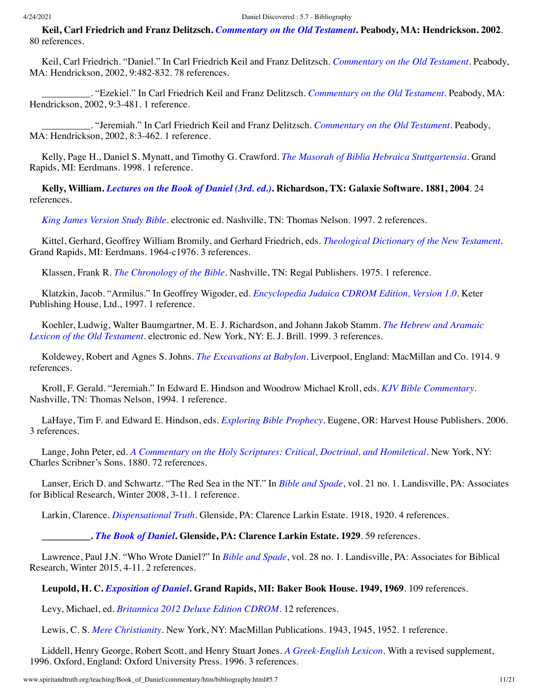<span id="page-10-2"></span>**Keil, Carl Friedrich and Franz Delitzsch.** *[Commentary on the Old Testament](http://www.amazon.com/gp/search/ref=sr_adv_b/?search-alias=stripbooks&unfiltered=1&field-title=Commentary%20on%20the%20Old%20Testament)***. Peabody, MA: Hendrickson. 2002**. 80 references.

Keil, Carl Friedrich. "Daniel." In Carl Friedrich Keil and Franz Delitzsch. *[Commentary on the Old Testament](#page-10-2)*. Peabody, MA: Hendrickson, 2002, 9:482-832. 78 references.

\_\_\_\_\_\_\_\_\_\_. "Ezekiel." In Carl Friedrich Keil and Franz Delitzsch. *[Commentary on the Old Testament](#page-10-2)*. Peabody, MA: Hendrickson, 2002, 9:3-481. 1 reference.

\_\_\_\_\_\_\_\_\_\_. "Jeremiah." In Carl Friedrich Keil and Franz Delitzsch. *[Commentary on the Old Testament](#page-10-2)*. Peabody, MA: Hendrickson, 2002, 8:3-462. 1 reference.

Kelly, Page H., Daniel S. Mynatt, and Timothy G. Crawford. *[The Masorah of Biblia Hebraica Stuttgartensia](http://www.spiritandtruth.org/id/isbn.htm?0802843638)*. Grand Rapids, MI: Eerdmans. 1998. 1 reference.

**Kelly, William.** *[Lectures on the Book of Daniel \(3rd. ed.\)](http://www.amazon.com/gp/search/ref=sr_adv_b/?search-alias=stripbooks&unfiltered=1&field-title=Lectures%20on%20the%20Book%20of%20Daniel%20(3rd.%20ed.))***. Richardson, TX: Galaxie Software. 1881, 2004**. 24 references.

*[King James Version Study Bible](http://www.amazon.com/gp/search/ref=sr_adv_b/?search-alias=stripbooks&unfiltered=1&field-title=King%20James%20Version%20Study%20Bible)*. electronic ed. Nashville, TN: Thomas Nelson. 1997. 2 references.

<span id="page-10-1"></span>Kittel, Gerhard, Geoffrey William Bromily, and Gerhard Friedrich, eds. *[Theological Dictionary of the New Testament](http://www.amazon.com/gp/search/ref=sr_adv_b/?search-alias=stripbooks&unfiltered=1&field-title=Theological%20Dictionary%20of%20the%20New%20Testament)*. Grand Rapids, MI: Eerdmans. 1964-c1976. 3 references.

Klassen, Frank R. *[The Chronology of the Bible](http://www.amazon.com/gp/search/ref=sr_adv_b/?search-alias=stripbooks&unfiltered=1&field-title=The%20Chronology%20of%20the%20Bible)*. Nashville, TN: Regal Publishers. 1975. 1 reference.

Klatzkin, Jacob. "Armilus." In Geoffrey Wigoder, ed. *[Encyclopedia Judaica CDROM Edition, Version 1.0](#page-18-0)*. Keter Publishing House, Ltd., 1997. 1 reference.

[Koehler, Ludwig, Walter Baumgartner, M. E. J. Richardson, and Johann Jakob Stamm.](http://www.amazon.com/gp/search/ref=sr_adv_b/?search-alias=stripbooks&unfiltered=1&field-title=The%20Hebrew%20and%20Aramaic%20Lexicon%20of%20the%20Old%20Testament) *The Hebrew and Aramaic Lexicon of the Old Testament*. electronic ed. New York, NY: E. J. Brill. 1999. 3 references.

Koldewey, Robert and Agnes S. Johns. *[The Excavations at Babylon](http://www.amazon.com/gp/search/ref=sr_adv_b/?search-alias=stripbooks&unfiltered=1&field-title=The%20Excavations%20at%20Babylon)*. Liverpool, England: MacMillan and Co. 1914. 9 references.

Kroll, F. Gerald. "Jeremiah." In Edward E. Hindson and Woodrow Michael Kroll, eds. *[KJV Bible Commentary](#page-7-0)*. Nashville, TN: Thomas Nelson, 1994. 1 reference.

<span id="page-10-3"></span>LaHaye, Tim F. and Edward E. Hindson, eds. *[Exploring Bible Prophecy](http://www.spiritandtruth.org/id/isbn.htm?9780736948036)*. Eugene, OR: Harvest House Publishers. 2006. 3 references.

<span id="page-10-0"></span>Lange, John Peter, ed. *[A Commentary on the Holy Scriptures: Critical, Doctrinal, and Homiletical](http://www.amazon.com/gp/search/ref=sr_adv_b/?search-alias=stripbooks&unfiltered=1&field-title=A%20Commentary%20on%20the%20Holy%20Scriptures:%20Critical,%20Doctrinal,%20and%20Homiletical)*. New York, NY: Charles Scribner's Sons. 1880. 72 references.

Lanser, Erich D. and Schwartz. "The Red Sea in the NT." In *[Bible and Spade](#page-1-4)*, vol. 21 no. 1. Landisville, PA: Associates for Biblical Research, Winter 2008, 3-11. 1 reference.

Larkin, Clarence. *[Dispensational Truth](http://www.amazon.com/gp/search/ref=sr_adv_b/?search-alias=stripbooks&unfiltered=1&field-title=Dispensational%20Truth)*. Glenside, PA: Clarence Larkin Estate. 1918, 1920. 4 references.

**\_\_\_\_\_\_\_\_\_\_.** *[The Book of Daniel](http://www.amazon.com/gp/search/ref=sr_adv_b/?search-alias=stripbooks&unfiltered=1&field-title=The%20Book%20of%20Daniel)***. Glenside, PA: Clarence Larkin Estate. 1929**. 59 references.

Lawrence, Paul J.N. "Who Wrote Daniel?" In *[Bible and Spade](#page-2-8)*, vol. 28 no. 1. Landisville, PA: Associates for Biblical Research, Winter 2015, 4-11. 2 references.

## **Leupold, H. C.** *[Exposition of Daniel](http://www.amazon.com/gp/search/ref=sr_adv_b/?search-alias=stripbooks&unfiltered=1&field-title=Exposition%20of%20Daniel)***. Grand Rapids, MI: Baker Book House. 1949, 1969**. 109 references.

Levy, Michael, ed. *[Britannica 2012 Deluxe Edition CDROM](http://www.amazon.com/gp/search/ref=sr_adv_b/?search-alias=stripbooks&unfiltered=1&field-title=Britannica%202012%20Deluxe%20Edition%20CDROM)*. 12 references.

Lewis, C. S. *[Mere Christianity](http://www.amazon.com/gp/search/ref=sr_adv_b/?search-alias=stripbooks&unfiltered=1&field-title=Mere%20Christianity)*. New York, NY: MacMillan Publications. 1943, 1945, 1952. 1 reference.

Liddell, Henry George, Robert Scott, and Henry Stuart Jones. *[A Greek-English Lexicon](http://www.amazon.com/gp/search/ref=sr_adv_b/?search-alias=stripbooks&unfiltered=1&field-title=A%20Greek-English%20Lexicon)*. With a revised supplement, 1996. Oxford, England: Oxford University Press. 1996. 3 references.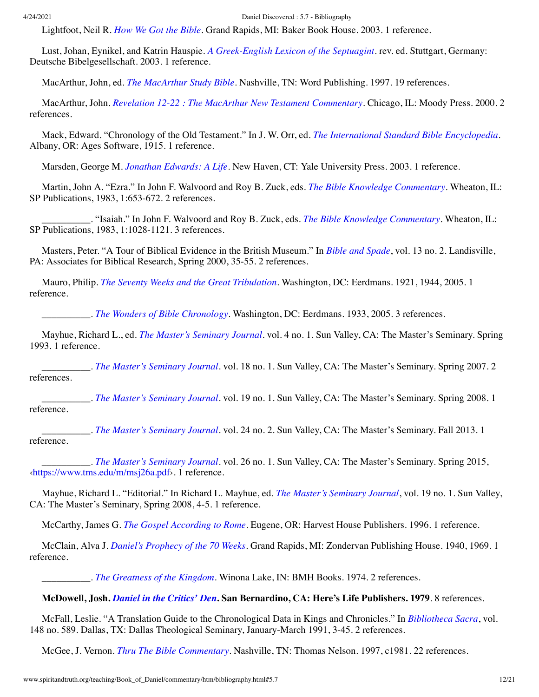Lightfoot, Neil R. *[How We Got the Bible](http://www.spiritandtruth.org/id/isbn.htm?080101252X)*. Grand Rapids, MI: Baker Book House. 2003. 1 reference.

Lust, Johan, Eynikel, and Katrin Hauspie. *[A Greek-English Lexicon of the Septuagint](http://www.amazon.com/gp/search/ref=sr_adv_b/?search-alias=stripbooks&unfiltered=1&field-title=A%20Greek-English%20Lexicon%20of%20the%20Septuagint)*. rev. ed. Stuttgart, Germany: Deutsche Bibelgesellschaft. 2003. 1 reference.

MacArthur, John, ed. *[The MacArthur Study Bible](http://www.amazon.com/gp/search/ref=sr_adv_b/?search-alias=stripbooks&unfiltered=1&field-title=The%20MacArthur%20Study%20Bible)*. Nashville, TN: Word Publishing. 1997. 19 references.

MacArthur, John. *[Revelation 12-22 : The MacArthur New Testament Commentary](http://www.amazon.com/gp/search/ref=sr_adv_b/?search-alias=stripbooks&unfiltered=1&field-title=Revelation%2012-22%20:%20The%20MacArthur%20New%20Testament%20Commentary)*. Chicago, IL: Moody Press. 2000. 2 references.

Mack, Edward. "Chronology of the Old Testament." In J. W. Orr, ed. *[The International Standard Bible Encyclopedia](#page-13-0)*. Albany, OR: Ages Software, 1915. 1 reference.

Marsden, George M. *[Jonathan Edwards: A Life](http://www.spiritandtruth.org/id/isbn.htm?0300096933)*. New Haven, CT: Yale University Press. 2003. 1 reference.

Martin, John A. "Ezra." In John F. Walvoord and Roy B. Zuck, eds. *[The Bible Knowledge Commentary](#page-17-0)*. Wheaton, IL: SP Publications, 1983, 1:653-672. 2 references.

\_\_\_\_\_\_\_\_\_\_. "Isaiah." In John F. Walvoord and Roy B. Zuck, eds. *[The Bible Knowledge Commentary](#page-17-0)*. Wheaton, IL: SP Publications, 1983, 1:1028-1121. 3 references.

Masters, Peter. "A Tour of Biblical Evidence in the British Museum." In *[Bible and Spade](#page-1-5)*, vol. 13 no. 2. Landisville, PA: Associates for Biblical Research, Spring 2000, 35-55. 2 references.

Mauro, Philip. *[The Seventy Weeks and the Great Tribulation](http://www.amazon.com/gp/search/ref=sr_adv_b/?search-alias=stripbooks&unfiltered=1&field-title=The%20Seventy%20Weeks%20and%20the%20Great%20Tribulation)*. Washington, DC: Eerdmans. 1921, 1944, 2005. 1 reference.

\_\_\_\_\_\_\_\_\_\_. *[The Wonders of Bible Chronology](http://www.amazon.com/gp/search/ref=sr_adv_b/?search-alias=stripbooks&unfiltered=1&field-title=The%20Wonders%20of%20Bible%20Chronology)*. Washington, DC: Eerdmans. 1933, 2005. 3 references.

<span id="page-11-0"></span>Mayhue, Richard L., ed. *[The Master's Seminary Journal](http://www.amazon.com/gp/search/ref=sr_adv_b/?search-alias=stripbooks&unfiltered=1&field-title=The%20Master%E2%80%99s%20Seminary%20Journal)*. vol. 4 no. 1. Sun Valley, CA: The Master's Seminary. Spring 1993. 1 reference.

<span id="page-11-4"></span>\_\_\_\_\_\_\_\_\_\_. *[The Master's Seminary Journal](http://www.amazon.com/gp/search/ref=sr_adv_b/?search-alias=stripbooks&unfiltered=1&field-title=The%20Master%E2%80%99s%20Seminary%20Journal)*. vol. 18 no. 1. Sun Valley, CA: The Master's Seminary. Spring 2007. 2 references.

<span id="page-11-1"></span>\_\_\_\_\_\_\_\_\_\_. *[The Master's Seminary Journal](http://www.amazon.com/gp/search/ref=sr_adv_b/?search-alias=stripbooks&unfiltered=1&field-title=The%20Master%E2%80%99s%20Seminary%20Journal)*. vol. 19 no. 1. Sun Valley, CA: The Master's Seminary. Spring 2008. 1 reference.

<span id="page-11-2"></span>\_\_\_\_\_\_\_\_\_\_. *[The Master's Seminary Journal](http://www.amazon.com/gp/search/ref=sr_adv_b/?search-alias=stripbooks&unfiltered=1&field-title=The%20Master%E2%80%99s%20Seminary%20Journal)*. vol. 24 no. 2. Sun Valley, CA: The Master's Seminary. Fall 2013. 1 reference.

<span id="page-11-3"></span>\_\_\_\_\_\_\_\_\_\_. *[The Master's Seminary Journal](http://www.amazon.com/gp/search/ref=sr_adv_b/?search-alias=stripbooks&unfiltered=1&field-title=The%20Master%E2%80%99s%20Seminary%20Journal)*. vol. 26 no. 1. Sun Valley, CA: The Master's Seminary. Spring 2015, [‹https://www.tms.edu/m/msj26a.pdf›](https://www.tms.edu/m/msj26a.pdf). 1 reference.

Mayhue, Richard L. "Editorial." In Richard L. Mayhue, ed. *[The Master's Seminary Journal](#page-11-1)*, vol. 19 no. 1. Sun Valley, CA: The Master's Seminary, Spring 2008, 4-5. 1 reference.

McCarthy, James G. *[The Gospel According to Rome](http://www.amazon.com/gp/search/ref=sr_adv_b/?search-alias=stripbooks&unfiltered=1&field-title=The%20Gospel%20According%20to%20Rome)*. Eugene, OR: Harvest House Publishers. 1996. 1 reference.

McClain, Alva J. *[Daniel's Prophecy of the 70 Weeks](http://www.amazon.com/gp/search/ref=sr_adv_b/?search-alias=stripbooks&unfiltered=1&field-title=Daniel%E2%80%99s%20Prophecy%20of%20the%2070%20Weeks)*. Grand Rapids, MI: Zondervan Publishing House. 1940, 1969. 1 reference.

\_\_\_\_\_\_\_\_\_\_. *[The Greatness of the Kingdom](http://www.spiritandtruth.org/id/isbn.htm?0884690113)*. Winona Lake, IN: BMH Books. 1974. 2 references.

## **McDowell, Josh.** *[Daniel in the Critics' Den](http://www.spiritandtruth.org/id/isbn.htm?0018956447)***. San Bernardino, CA: Here's Life Publishers. 1979**. 8 references.

McFall, Leslie. "A Translation Guide to the Chronological Data in Kings and Chronicles." In *[Bibliotheca Sacra](#page-2-9)*, vol. 148 no. 589. Dallas, TX: Dallas Theological Seminary, January-March 1991, 3-45. 2 references.

McGee, J. Vernon. *[Thru The Bible Commentary](http://www.amazon.com/gp/search/ref=sr_adv_b/?search-alias=stripbooks&unfiltered=1&field-title=Thru%20The%20Bible%20Commentary)*. Nashville, TN: Thomas Nelson. 1997, c1981. 22 references.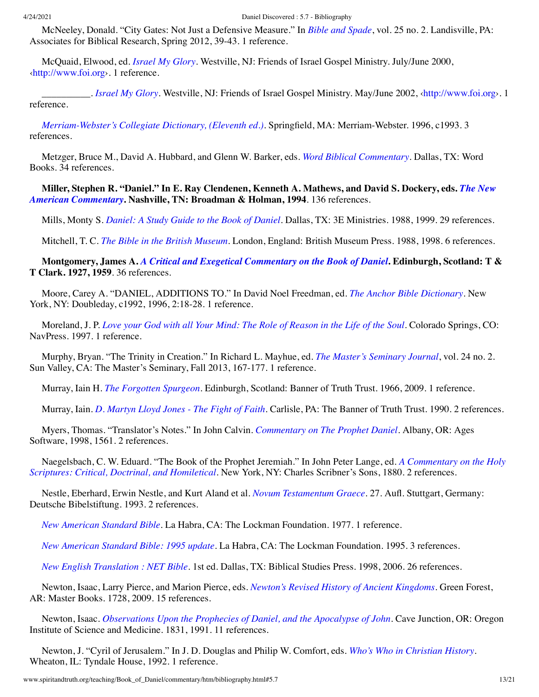McNeeley, Donald. "City Gates: Not Just a Defensive Measure." In *[Bible and Spade](#page-1-6)*, vol. 25 no. 2. Landisville, PA: Associates for Biblical Research, Spring 2012, 39-43. 1 reference.

McQuaid, Elwood, ed. *[Israel My Glory](http://www.amazon.com/gp/search/ref=sr_adv_b/?search-alias=stripbooks&unfiltered=1&field-title=Israel%20My%20Glory)*. Westville, NJ: Friends of Israel Gospel Ministry. July/June 2000, [‹http://www.foi.org](http://www.foi.org/)›. 1 reference.

\_\_\_\_\_\_\_\_\_\_. *[Israel My Glory](http://www.amazon.com/gp/search/ref=sr_adv_b/?search-alias=stripbooks&unfiltered=1&field-title=Israel%20My%20Glory)*. Westville, NJ: Friends of Israel Gospel Ministry. May/June 2002, [‹http://www.foi.org›](http://www.foi.org/). 1 reference.

*[Merriam-Webster's Collegiate Dictionary, \(Eleventh ed.\)](http://www.amazon.com/gp/search/ref=sr_adv_b/?search-alias=stripbooks&unfiltered=1&field-title=Merriam-Webster%E2%80%99s%20Collegiate%20Dictionary,%20(Eleventh%20ed.))*. Springfield, MA: Merriam-Webster. 1996, c1993. 3 references.

<span id="page-12-0"></span>Metzger, Bruce M., David A. Hubbard, and Glenn W. Barker, eds. *[Word Biblical Commentary](http://www.amazon.com/gp/search/ref=sr_adv_b/?search-alias=stripbooks&unfiltered=1&field-title=Word%20Biblical%20Commentary)*. Dallas, TX: Word Books. 34 references.

**[Miller, Stephen R. "Daniel." In E. Ray Clendenen, Kenneth A. Mathews, and David S. Dockery, eds.](#page-3-1)** *The New American Commentary***. Nashville, TN: Broadman & Holman, 1994**. 136 references.

Mills, Monty S. *[Daniel: A Study Guide to the Book of Daniel](http://www.amazon.com/gp/search/ref=sr_adv_b/?search-alias=stripbooks&unfiltered=1&field-title=Daniel:%20A%20Study%20Guide%20to%20the%20Book%20of%20Daniel)*. Dallas, TX: 3E Ministries. 1988, 1999. 29 references.

Mitchell, T. C. *[The Bible in the British Museum](http://www.spiritandtruth.org/id/isbn.htm?071411698X)*. London, England: British Museum Press. 1988, 1998. 6 references.

**Montgomery, James A.** *[A Critical and Exegetical Commentary on the Book of Daniel](http://www.amazon.com/gp/search/ref=sr_adv_b/?search-alias=stripbooks&unfiltered=1&field-title=A%20Critical%20and%20Exegetical%20Commentary%20on%20the%20Book%20of%20Daniel)***. Edinburgh, Scotland: T & T Clark. 1927, 1959**. 36 references.

Moore, Carey A. "DANIEL, ADDITIONS TO." In David Noel Freedman, ed. *[The Anchor Bible Dictionary](#page-6-1)*. New York, NY: Doubleday, c1992, 1996, 2:18-28. 1 reference.

Moreland, J. P. *[Love your God with all Your Mind: The Role of Reason in the Life of the Soul](http://www.amazon.com/gp/search/ref=sr_adv_b/?search-alias=stripbooks&unfiltered=1&field-title=Love%20your%20God%20with%20all%20Your%20Mind:%20The%20Role%20of%20Reason%20in%20the%20Life%20of%20the%20Soul)*. Colorado Springs, CO: NavPress. 1997. 1 reference.

Murphy, Bryan. "The Trinity in Creation." In Richard L. Mayhue, ed. *[The Master's Seminary Journal](#page-11-2)*, vol. 24 no. 2. Sun Valley, CA: The Master's Seminary, Fall 2013, 167-177. 1 reference.

Murray, Iain H. *[The Forgotten Spurgeon](http://www.spiritandtruth.org/id/isbn.htm?9781848710115)*. Edinburgh, Scotland: Banner of Truth Trust. 1966, 2009. 1 reference.

Murray, Iain. *[D. Martyn Lloyd Jones - The Fight of Faith](http://www.spiritandtruth.org/id/isbn.htm?0851515640)*. Carlisle, PA: The Banner of Truth Trust. 1990. 2 references.

Myers, Thomas. "Translator's Notes." In John Calvin. *[Commentary on The Prophet Daniel](#page-3-2)*. Albany, OR: Ages Software, 1998, 1561. 2 references.

[Naegelsbach, C. W. Eduard. "The Book of the Prophet Jeremiah." In John Peter Lange, ed.](#page-10-0) *A Commentary on the Holy Scriptures: Critical, Doctrinal, and Homiletical*. New York, NY: Charles Scribner's Sons, 1880. 2 references.

Nestle, Eberhard, Erwin Nestle, and Kurt Aland et al. *[Novum Testamentum Graece](http://www.spiritandtruth.org/id/isbn.htm?3438051036)*. 27. Aufl. Stuttgart, Germany: Deutsche Bibelstiftung. 1993. 2 references.

*[New American Standard Bible](http://www.amazon.com/gp/search/ref=sr_adv_b/?search-alias=stripbooks&unfiltered=1&field-title=New%20American%20Standard%20Bible)*. La Habra, CA: The Lockman Foundation. 1977. 1 reference.

*[New American Standard Bible: 1995 update](http://www.amazon.com/gp/search/ref=sr_adv_b/?search-alias=stripbooks&unfiltered=1&field-title=New%20American%20Standard%20Bible:%201995%20update)*. La Habra, CA: The Lockman Foundation. 1995. 3 references.

*[New English Translation : NET Bible](http://www.amazon.com/gp/search/ref=sr_adv_b/?search-alias=stripbooks&unfiltered=1&field-title=New%20English%20Translation%20:%20NET%20Bible)*. 1st ed. Dallas, TX: Biblical Studies Press. 1998, 2006. 26 references.

Newton, Isaac, Larry Pierce, and Marion Pierce, eds. *[Newton's Revised History of Ancient Kingdoms](http://www.spiritandtruth.org/id/isbn.htm?9780890515563)*. Green Forest, AR: Master Books. 1728, 2009. 15 references.

Newton, Isaac. *[Observations Upon the Prophecies of Daniel, and the Apocalypse of John](http://www.spiritandtruth.org/id/isbn.htm?0942487028)*. Cave Junction, OR: Oregon Institute of Science and Medicine. 1831, 1991. 11 references.

Newton, J. "Cyril of Jerusalem." In J. D. Douglas and Philip W. Comfort, eds. *[Who's Who in Christian History](#page-4-2)*. Wheaton, IL: Tyndale House, 1992. 1 reference.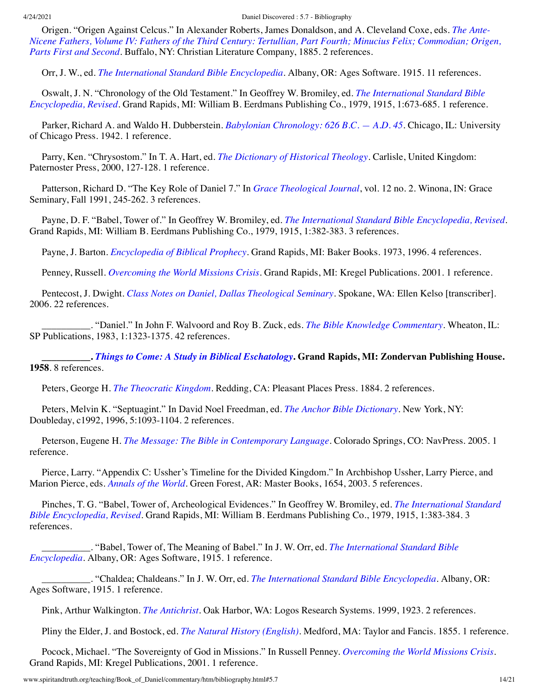Origen. "Origen Against Celcus." In Alexander Roberts, James Donaldson, and A. Cleveland Coxe, eds. *The Ante-[Nicene Fathers, Volume IV: Fathers of the Third Century: Tertullian, Part Fourth; Minucius Felix; Commodian; Origen,](#page-14-4) Parts First and Second*. Buffalo, NY: Christian Literature Company, 1885. 2 references.

<span id="page-13-0"></span>Orr, J. W., ed. *[The International Standard Bible Encyclopedia](http://www.amazon.com/gp/search/ref=sr_adv_b/?search-alias=stripbooks&unfiltered=1&field-title=The%20International%20Standard%20Bible%20Encyclopedia)*. Albany, OR: Ages Software. 1915. 11 references.

Oswalt, J. N. "Chronology of the Old Testament." In Geoffrey W. Bromiley, ed. *The International Standard Bible Encyclopedia, Revised*[. Grand Rapids, MI: William B. Eerdmans Publishing Co., 1979, 1915, 1:673-685. 1 reference](#page-2-4).

Parker, Richard A. and Waldo H. Dubberstein. *[Babylonian Chronology: 626 B.C. — A.D. 45](http://www.amazon.com/gp/search/ref=sr_adv_b/?search-alias=stripbooks&unfiltered=1&field-title=Babylonian%20Chronology:%20626%20B.C.%20%E2%80%94%20A.D.%2045)*. Chicago, IL: University of Chicago Press. 1942. 1 reference.

Parry, Ken. "Chrysostom." In T. A. Hart, ed. *[The Dictionary of Historical Theology](#page-7-1)*. Carlisle, United Kingdom: Paternoster Press, 2000, 127-128. 1 reference.

Patterson, Richard D. "The Key Role of Daniel 7." In *[Grace Theological Journal](#page-7-2)*, vol. 12 no. 2. Winona, IN: Grace Seminary, Fall 1991, 245-262. 3 references.

Payne, D. F. "Babel, Tower of." In Geoffrey W. Bromiley, ed. *[The International Standard Bible Encyclopedia, Revised](#page-2-4)*. Grand Rapids, MI: William B. Eerdmans Publishing Co., 1979, 1915, 1:382-383. 3 references.

Payne, J. Barton. *[Encyclopedia of Biblical Prophecy](http://www.spiritandtruth.org/id/isbn.htm?0801070511)*. Grand Rapids, MI: Baker Books. 1973, 1996. 4 references.

<span id="page-13-1"></span>Penney, Russell. *[Overcoming the World Missions Crisis](http://www.spiritandtruth.org/id/isbn.htm?0825434661)*. Grand Rapids, MI: Kregel Publications. 2001. 1 reference.

Pentecost, J. Dwight. *[Class Notes on Daniel, Dallas Theological Seminary](http://www.amazon.com/gp/search/ref=sr_adv_b/?search-alias=stripbooks&unfiltered=1&field-title=Class%20Notes%20on%20Daniel,%20Dallas%20Theological%20Seminary)*. Spokane, WA: Ellen Kelso [transcriber]. 2006. 22 references.

\_\_\_\_\_\_\_\_\_\_. "Daniel." In John F. Walvoord and Roy B. Zuck, eds. *[The Bible Knowledge Commentary](#page-17-0)*. Wheaton, IL: SP Publications, 1983, 1:1323-1375. 42 references.

**\_\_\_\_\_\_\_\_\_\_.** *[Things to Come: A Study in Biblical Eschatology](http://www.amazon.com/gp/search/ref=sr_adv_b/?search-alias=stripbooks&unfiltered=1&field-title=Things%20to%20Come:%20A%20Study%20in%20Biblical%20Eschatology)***. Grand Rapids, MI: Zondervan Publishing House. 1958**. 8 references.

Peters, George H. *[The Theocratic Kingdom](http://www.amazon.com/gp/search/ref=sr_adv_b/?search-alias=stripbooks&unfiltered=1&field-title=The%20Theocratic%20Kingdom)*. Redding, CA: Pleasant Places Press. 1884. 2 references.

Peters, Melvin K. "Septuagint." In David Noel Freedman, ed. *[The Anchor Bible Dictionary](#page-6-1)*. New York, NY: Doubleday, c1992, 1996, 5:1093-1104. 2 references.

Peterson, Eugene H. *[The Message: The Bible in Contemporary Language](http://www.amazon.com/gp/search/ref=sr_adv_b/?search-alias=stripbooks&unfiltered=1&field-title=The%20Message:%20The%20Bible%20in%20Contemporary%20Language)*. Colorado Springs, CO: NavPress. 2005. 1 reference.

Pierce, Larry. "Appendix C: Ussher's Timeline for the Divided Kingdom." In Archbishop Ussher, Larry Pierce, and Marion Pierce, eds. *[Annals of the World](#page-17-1)*. Green Forest, AR: Master Books, 1654, 2003. 5 references.

[Pinches, T. G. "Babel, Tower of, Archeological Evidences." In Geoffrey W. Bromiley, ed.](#page-2-4) *The International Standard Bible Encyclopedia, Revised*. Grand Rapids, MI: William B. Eerdmans Publishing Co., 1979, 1915, 1:383-384. 3 references.

[\\_\\_\\_\\_\\_\\_\\_\\_\\_\\_. "Babel, Tower of, The Meaning of Babel." In J. W. Orr, ed.](#page-13-0) *The International Standard Bible Encyclopedia*. Albany, OR: Ages Software, 1915. 1 reference.

\_\_\_\_\_\_\_\_\_\_. "Chaldea; Chaldeans." In J. W. Orr, ed. *[The International Standard Bible Encyclopedia](#page-13-0)*. Albany, OR: Ages Software, 1915. 1 reference.

Pink, Arthur Walkington. *[The Antichrist](http://www.amazon.com/gp/search/ref=sr_adv_b/?search-alias=stripbooks&unfiltered=1&field-title=The%20Antichrist)*. Oak Harbor, WA: Logos Research Systems. 1999, 1923. 2 references.

Pliny the Elder, J. and Bostock, ed. *[The Natural History \(English\)](http://www.amazon.com/gp/search/ref=sr_adv_b/?search-alias=stripbooks&unfiltered=1&field-title=The%20Natural%20History%20(English))*. Medford, MA: Taylor and Fancis. 1855. 1 reference.

Pocock, Michael. "The Sovereignty of God in Missions." In Russell Penney. *[Overcoming the World Missions Crisis](#page-13-1)*. Grand Rapids, MI: Kregel Publications, 2001. 1 reference.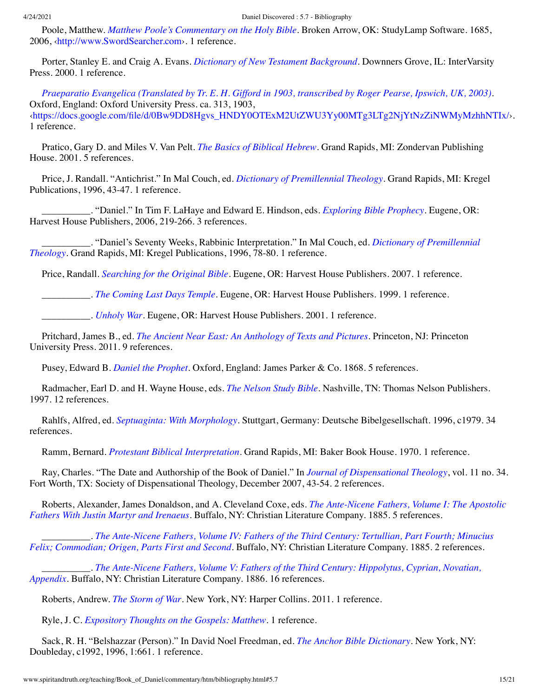Poole, Matthew. *[Matthew Poole's Commentary on the Holy Bible](http://www.amazon.com/gp/search/ref=sr_adv_b/?search-alias=stripbooks&unfiltered=1&field-title=Matthew%20Poole%E2%80%99s%20Commentary%20on%20the%20Holy%20Bible)*. Broken Arrow, OK: StudyLamp Software. 1685, 2006, ‹[http://www.SwordSearcher.com›](http://www.swordsearcher.com/). 1 reference.

<span id="page-14-1"></span>Porter, Stanley E. and Craig A. Evans. *[Dictionary of New Testament Background](http://www.amazon.com/gp/search/ref=sr_adv_b/?search-alias=stripbooks&unfiltered=1&field-title=Dictionary%20of%20New%20Testament%20Background)*. Downners Grove, IL: InterVarsity Press. 2000. 1 reference.

*[Praeparatio Evangelica \(Translated by Tr. E. H. Gifford in 1903, transcribed by Roger Pearse, Ipswich, UK, 2003\)](http://www.amazon.com/gp/search/ref=sr_adv_b/?search-alias=stripbooks&unfiltered=1&field-title=Praeparatio%20Evangelica%20(Translated%20by%20Tr.%20E.%20H.%20Gifford%20in%201903,%20transcribed%20by%20Roger%20Pearse,%20Ipswich,%20UK,%202003))*. Oxford, England: Oxford University Press. ca. 313, 1903, [‹https://docs.google.com/file/d/0Bw9DD8Hgvs\\_HNDY0OTExM2UtZWU3Yy00MTg3LTg2NjYtNzZiNWMyMzhhNTIx/›](https://docs.google.com/file/d/0Bw9DD8Hgvs_HNDY0OTExM2UtZWU3Yy00MTg3LTg2NjYtNzZiNWMyMzhhNTIx/). 1 reference.

Pratico, Gary D. and Miles V. Van Pelt. *[The Basics of Biblical Hebrew](http://www.spiritandtruth.org/id/isbn.htm?0310237602)*. Grand Rapids, MI: Zondervan Publishing House. 2001. 5 references.

Price, J. Randall. "Antichrist." In Mal Couch, ed. *[Dictionary of Premillennial Theology](#page-4-1)*. Grand Rapids, MI: Kregel Publications, 1996, 43-47. 1 reference.

\_\_\_\_\_\_\_\_\_\_. "Daniel." In Tim F. LaHaye and Edward E. Hindson, eds. *[Exploring Bible Prophecy](#page-10-3)*. Eugene, OR: Harvest House Publishers, 2006, 219-266. 3 references.

[\\_\\_\\_\\_\\_\\_\\_\\_\\_\\_. "Daniel's Seventy Weeks, Rabbinic Interpretation." In Mal Couch, ed.](#page-4-1) *Dictionary of Premillennial Theology*. Grand Rapids, MI: Kregel Publications, 1996, 78-80. 1 reference.

Price, Randall. *[Searching for the Original Bible](http://www.spiritandtruth.org/id/isbn.htm?9780736910545)*. Eugene, OR: Harvest House Publishers. 2007. 1 reference.

\_\_\_\_\_\_\_\_\_\_. *[The Coming Last Days Temple](http://www.spiritandtruth.org/id/isbn.htm?1565079019)*. Eugene, OR: Harvest House Publishers. 1999. 1 reference.

\_\_\_\_\_\_\_\_\_\_. *[Unholy War](http://www.spiritandtruth.org/id/isbn.htm?9780736908238)*. Eugene, OR: Harvest House Publishers. 2001. 1 reference.

Pritchard, James B., ed. *[The Ancient Near East: An Anthology of Texts and Pictures](http://www.spiritandtruth.org/id/isbn.htm?9780691147260)*. Princeton, NJ: Princeton University Press. 2011. 9 references.

Pusey, Edward B. *[Daniel the Prophet](http://www.amazon.com/gp/search/ref=sr_adv_b/?search-alias=stripbooks&unfiltered=1&field-title=Daniel%20the%20Prophet)*. Oxford, England: James Parker & Co. 1868. 5 references.

Radmacher, Earl D. and H. Wayne House, eds. *[The Nelson Study Bible](http://www.amazon.com/gp/search/ref=sr_adv_b/?search-alias=stripbooks&unfiltered=1&field-title=The%20Nelson%20Study%20Bible)*. Nashville, TN: Thomas Nelson Publishers. 1997. 12 references.

<span id="page-14-0"></span>Rahlfs, Alfred, ed. *[Septuaginta: With Morphology](http://www.amazon.com/gp/search/ref=sr_adv_b/?search-alias=stripbooks&unfiltered=1&field-title=Septuaginta:%20With%20Morphology)*. Stuttgart, Germany: Deutsche Bibelgesellschaft. 1996, c1979. 34 references.

Ramm, Bernard. *[Protestant Biblical Interpretation](http://www.spiritandtruth.org/id/isbn.htm?0801065005)*. Grand Rapids, MI: Baker Book House. 1970. 1 reference.

Ray, Charles. "The Date and Authorship of the Book of Daniel." In *[Journal of Dispensational Theology](#page-9-6)*, vol. 11 no. 34. Fort Worth, TX: Society of Dispensational Theology, December 2007, 43-54. 2 references.

<span id="page-14-2"></span>[Roberts, Alexander, James Donaldson, and A. Cleveland Coxe, eds.](http://www.amazon.com/gp/search/ref=sr_adv_b/?search-alias=stripbooks&unfiltered=1&field-title=The%20Ante-Nicene%20Fathers,%20Volume%20I:%20The%20Apostolic%20Fathers%20With%20Justin%20Martyr%20and%20Irenaeus) *The Ante-Nicene Fathers, Volume I: The Apostolic Fathers With Justin Martyr and Irenaeus*. Buffalo, NY: Christian Literature Company. 1885. 5 references.

<span id="page-14-4"></span>\_\_\_\_\_\_\_\_\_\_. *[The Ante-Nicene Fathers, Volume IV: Fathers of the Third Century: Tertullian, Part Fourth; Minucius](http://www.amazon.com/gp/search/ref=sr_adv_b/?search-alias=stripbooks&unfiltered=1&field-title=The%20Ante-Nicene%20Fathers,%20Volume%20IV:%20Fathers%20of%20the%20Third%20Century:%20Tertullian,%20Part%20Fourth;%20Minucius%20Felix;%20Commodian;%20Origen,%20Parts%20First%20and%20Second) Felix; Commodian; Origen, Parts First and Second*. Buffalo, NY: Christian Literature Company. 1885. 2 references.

<span id="page-14-3"></span>\_\_\_\_\_\_\_\_\_\_. *[The Ante-Nicene Fathers, Volume V: Fathers of the Third Century: Hippolytus, Cyprian, Novatian,](http://www.amazon.com/gp/search/ref=sr_adv_b/?search-alias=stripbooks&unfiltered=1&field-title=The%20Ante-Nicene%20Fathers,%20Volume%20V:%20Fathers%20of%20the%20Third%20Century:%20Hippolytus,%20Cyprian,%20Novatian,%20Appendix) Appendix*. Buffalo, NY: Christian Literature Company. 1886. 16 references.

Roberts, Andrew. *[The Storm of War](http://www.spiritandtruth.org/id/isbn.htm?9780061228599)*. New York, NY: Harper Collins. 2011. 1 reference.

Ryle, J. C. *[Expository Thoughts on the Gospels: Matthew](http://www.amazon.com/gp/search/ref=sr_adv_b/?search-alias=stripbooks&unfiltered=1&field-title=Expository%20Thoughts%20on%20the%20Gospels:%20Matthew)*. 1 reference.

Sack, R. H. "Belshazzar (Person)." In David Noel Freedman, ed. *[The Anchor Bible Dictionary](#page-6-1)*. New York, NY: Doubleday, c1992, 1996, 1:661. 1 reference.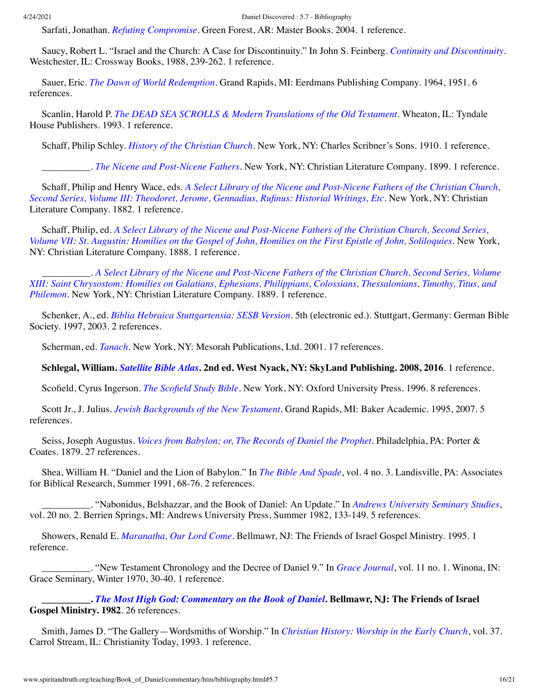Sarfati, Jonathan. *[Refuting Compromise](http://www.spiritandtruth.org/id/isbn.htm?0890514119)*. Green Forest, AR: Master Books. 2004. 1 reference.

Saucy, Robert L. "Israel and the Church: A Case for Discontinuity." In John S. Feinberg. *[Continuity and Discontinuity](#page-5-1)*. Westchester, IL: Crossway Books, 1988, 239-262. 1 reference.

Sauer, Eric. *[The Dawn of World Redemption](http://www.spiritandtruth.org/id/isbn.htm?0802811744)*. Grand Rapids, MI: Eerdmans Publishing Company. 1964, 1951. 6 references.

Scanlin, Harold P. *[The DEAD SEA SCROLLS & Modern Translations of the Old Testament](http://www.spiritandtruth.org/id/isbn.htm?0%E2%80%938423%E2%80%931010%E2%80%93X)*. Wheaton, IL: Tyndale House Publishers. 1993. 1 reference.

<span id="page-15-1"></span>Schaff, Philip Schley. *[History of the Christian Church](http://www.amazon.com/gp/search/ref=sr_adv_b/?search-alias=stripbooks&unfiltered=1&field-title=History%20of%20the%20Christian%20Church)*. New York, NY: Charles Scribner's Sons. 1910. 1 reference.

\_\_\_\_\_\_\_\_\_\_. *[The Nicene and Post-Nicene Fathers](http://www.amazon.com/gp/search/ref=sr_adv_b/?search-alias=stripbooks&unfiltered=1&field-title=The%20Nicene%20and%20Post-Nicene%20Fathers)*. New York, NY: Christian Literature Company. 1899. 1 reference.

<span id="page-15-3"></span>Schaff, Philip and Henry Wace, eds. *A Select Library of the Nicene and Post-Nicene Fathers of the Christian Church, [Second Series, Volume III: Theodoret, Jerome, Gennadius, Rufinus: Historial Writings, Etc](http://www.amazon.com/gp/search/ref=sr_adv_b/?search-alias=stripbooks&unfiltered=1&field-title=A%20Select%20Library%20of%20the%20Nicene%20and%20Post-Nicene%20Fathers%20of%20the%20Christian%20Church,%20Second%20Series,%20Volume%20III:%20Theodoret,%20Jerome,%20Gennadius,%20Rufinus:%20Historial%20Writings,%20Etc)*. New York, NY: Christian Literature Company. 1882. 1 reference.

<span id="page-15-2"></span>Schaff, Philip, ed. *A Select Library of the Nicene and Post-Nicene Fathers of the Christian Church, Second Series, [Volume VII: St. Augustin: Homilies on the Gospel of John, Homilies on the First Epistle of John, Soliloquies](http://www.amazon.com/gp/search/ref=sr_adv_b/?search-alias=stripbooks&unfiltered=1&field-title=A%20Select%20Library%20of%20the%20Nicene%20and%20Post-Nicene%20Fathers%20of%20the%20Christian%20Church,%20Second%20Series,%20Volume%20VII:%20St.%20Augustin:%20Homilies%20on%20the%20Gospel%20of%20John,%20Homilies%20on%20the%20First%20Epistle%20of%20John,%20Soliloquies)*. New York, NY: Christian Literature Company. 1888. 1 reference.

<span id="page-15-0"></span>\_\_\_\_\_\_\_\_\_\_. *A Select Library of the Nicene and Post-Nicene Fathers of the Christian Church, Second Series, Volume [XIII: Saint Chrysostom: Homilies on Galatians, Ephesians, Philippians, Colossians, Thessalonians, Timothy, Titus, and](http://www.amazon.com/gp/search/ref=sr_adv_b/?search-alias=stripbooks&unfiltered=1&field-title=A%20Select%20Library%20of%20the%20Nicene%20and%20Post-Nicene%20Fathers%20of%20the%20Christian%20Church,%20Second%20Series,%20Volume%20XIII:%20Saint%20Chrysostom:%20Homilies%20on%20Galatians,%20Ephesians,%20Philippians,%20Colossians,%20Thessalonians,%20Timothy,%20Titus,%20and%20Philemon) Philemon*. New York, NY: Christian Literature Company. 1889. 1 reference.

Schenker, A., ed. *[Biblia Hebraica Stuttgartensia: SESB Version](http://www.amazon.com/gp/search/ref=sr_adv_b/?search-alias=stripbooks&unfiltered=1&field-title=Biblia%20Hebraica%20Stuttgartensia:%20SESB%20Version)*. 5th (electronic ed.). Stuttgart, Germany: German Bible Society. 1997, 2003. 2 references.

Scherman, ed. *[Tanach](http://www.amazon.com/gp/search/ref=sr_adv_b/?search-alias=stripbooks&unfiltered=1&field-title=Tanach)*. New York, NY: Mesorah Publications, Ltd. 2001. 17 references.

**Schlegal, William.** *[Satellite Bible Atlas](http://www.spiritandtruth.org/id/isbn.htm?9780988427525)***. 2nd ed. West Nyack, NY: SkyLand Publishing. 2008, 2016**. 1 reference.

Scofield, Cyrus Ingerson. *[The Scofield Study Bible](http://www.amazon.com/gp/search/ref=sr_adv_b/?search-alias=stripbooks&unfiltered=1&field-title=The%20Scofield%20Study%20Bible)*. New York, NY: Oxford University Press. 1996. 8 references.

Scott Jr., J. Julius. *[Jewish Backgrounds of the New Testament](http://www.spiritandtruth.org/id/isbn.htm?9760801022401)*. Grand Rapids, MI: Baker Academic. 1995, 2007. 5 references.

Seiss, Joseph Augustus. *[Voices from Babylon; or, The Records of Daniel the Prophet](http://www.amazon.com/gp/search/ref=sr_adv_b/?search-alias=stripbooks&unfiltered=1&field-title=Voices%20from%20Babylon;%20or,%20The%20Records%20of%20Daniel%20the%20Prophet)*. Philadelphia, PA: Porter & Coates. 1879. 27 references.

Shea, William H. "Daniel and the Lion of Babylon." In *[The Bible And Spade](#page-16-1)*, vol. 4 no. 3. Landisville, PA: Associates for Biblical Research, Summer 1991, 68-76. 2 references.

\_\_\_\_\_\_\_\_\_\_. "Nabonidus, Belshazzar, and the Book of Daniel: An Update." In *[Andrews University Seminary Studies](#page-0-1)*, vol. 20 no. 2. Berrien Springs, MI: Andrews University Press, Summer 1982, 133-149. 5 references.

Showers, Renald E. *[Maranatha, Our Lord Come](http://www.amazon.com/gp/search/ref=sr_adv_b/?search-alias=stripbooks&unfiltered=1&field-title=Maranatha,%20Our%20Lord%20Come)*. Bellmawr, NJ: The Friends of Israel Gospel Ministry. 1995. 1 reference.

\_\_\_\_\_\_\_\_\_\_. "New Testament Chronology and the Decree of Daniel 9." In *[Grace Journal](#page-7-3)*, vol. 11 no. 1. Winona, IN: Grace Seminary, Winter 1970, 30-40. 1 reference.

**\_\_\_\_\_\_\_\_\_\_.** *[The Most High God: Commentary on the Book of Daniel](http://www.spiritandtruth.org/id/isbn.htm?09115540304)***. Bellmawr, NJ: The Friends of Israel Gospel Ministry. 1982**. 26 references.

Smith, James D. "The Gallery—Wordsmiths of Worship." In *[Christian History: Worship in the Early Church](#page-3-3)*, vol. 37. Carrol Stream, IL: Christianity Today, 1993. 1 reference.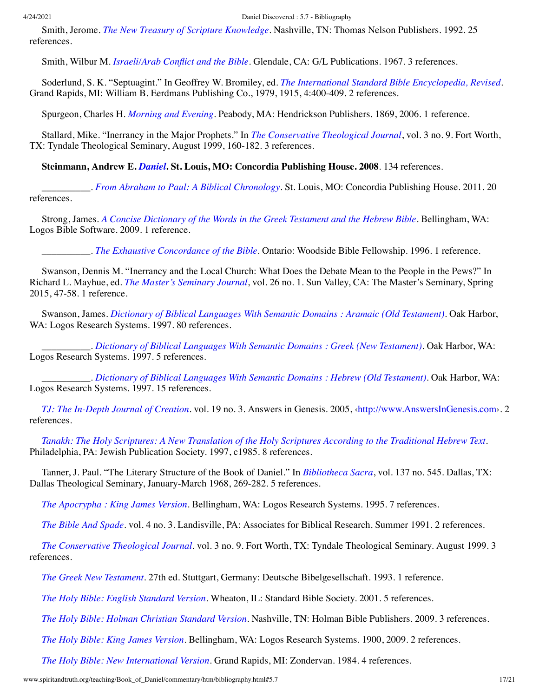Smith, Jerome. *[The New Treasury of Scripture Knowledge](http://www.amazon.com/gp/search/ref=sr_adv_b/?search-alias=stripbooks&unfiltered=1&field-title=The%20New%20Treasury%20of%20Scripture%20Knowledge)*. Nashville, TN: Thomas Nelson Publishers. 1992. 25 references.

Smith, Wilbur M. *[Israeli/Arab Conflict and the Bible](http://www.amazon.com/gp/search/ref=sr_adv_b/?search-alias=stripbooks&unfiltered=1&field-title=Israeli/Arab%20Conflict%20and%20the%20Bible)*. Glendale, CA: G/L Publications. 1967. 3 references.

Soderlund, S. K. "Septuagint." In Geoffrey W. Bromiley, ed. *[The International Standard Bible Encyclopedia, Revised](#page-2-4)*. Grand Rapids, MI: William B. Eerdmans Publishing Co., 1979, 1915, 4:400-409. 2 references.

Spurgeon, Charles H. *[Morning and Evening](http://www.amazon.com/gp/search/ref=sr_adv_b/?search-alias=stripbooks&unfiltered=1&field-title=Morning%20and%20Evening)*. Peabody, MA: Hendrickson Publishers. 1869, 2006. 1 reference.

Stallard, Mike. "Inerrancy in the Major Prophets." In *[The Conservative Theological Journal](#page-16-2)*, vol. 3 no. 9. Fort Worth, TX: Tyndale Theological Seminary, August 1999, 160-182. 3 references.

**Steinmann, Andrew E.** *[Daniel](http://www.spiritandtruth.org/id/isbn.htm?9780758606952)***. St. Louis, MO: Concordia Publishing House. 2008**. 134 references.

\_\_\_\_\_\_\_\_\_\_. *[From Abraham to Paul: A Biblical Chronology](http://www.spiritandtruth.org/id/isbn.htm?9780758627995)*. St. Louis, MO: Concordia Publishing House. 2011. 20 references.

Strong, James. *[A Concise Dictionary of the Words in the Greek Testament and the Hebrew Bible](http://www.amazon.com/gp/search/ref=sr_adv_b/?search-alias=stripbooks&unfiltered=1&field-title=A%20Concise%20Dictionary%20of%20the%20Words%20in%20the%20Greek%20Testament%20and%20the%20Hebrew%20Bible)*. Bellingham, WA: Logos Bible Software. 2009. 1 reference.

\_\_\_\_\_\_\_\_\_\_. *[The Exhaustive Concordance of the Bible](http://www.amazon.com/gp/search/ref=sr_adv_b/?search-alias=stripbooks&unfiltered=1&field-title=The%20Exhaustive%20Concordance%20of%20the%20Bible)*. Ontario: Woodside Bible Fellowship. 1996. 1 reference.

Swanson, Dennis M. "Inerrancy and the Local Church: What Does the Debate Mean to the People in the Pews?" In Richard L. Mayhue, ed. *[The Master's Seminary Journal](#page-11-3)*, vol. 26 no. 1. Sun Valley, CA: The Master's Seminary, Spring 2015, 47-58. 1 reference.

Swanson, James. *[Dictionary of Biblical Languages With Semantic Domains : Aramaic \(Old Testament\)](http://www.amazon.com/gp/search/ref=sr_adv_b/?search-alias=stripbooks&unfiltered=1&field-title=Dictionary%20of%20Biblical%20Languages%20With%20Semantic%20Domains%20:%20Aramaic%20(Old%20Testament))*. Oak Harbor, WA: Logos Research Systems. 1997. 80 references.

\_\_\_\_\_\_\_\_\_\_. *[Dictionary of Biblical Languages With Semantic Domains : Greek \(New Testament\)](http://www.amazon.com/gp/search/ref=sr_adv_b/?search-alias=stripbooks&unfiltered=1&field-title=Dictionary%20of%20Biblical%20Languages%20With%20Semantic%20Domains%20:%20Greek%20(New%20Testament))*. Oak Harbor, WA: Logos Research Systems. 1997. 5 references.

\_\_\_\_\_\_\_\_\_\_. *[Dictionary of Biblical Languages With Semantic Domains : Hebrew \(Old Testament\)](http://www.amazon.com/gp/search/ref=sr_adv_b/?search-alias=stripbooks&unfiltered=1&field-title=Dictionary%20of%20Biblical%20Languages%20With%20Semantic%20Domains%20:%20Hebrew%20(Old%20Testament))*. Oak Harbor, WA: Logos Research Systems. 1997. 15 references.

<span id="page-16-0"></span>*[TJ: The In-Depth Journal of Creation](http://www.amazon.com/gp/search/ref=sr_adv_b/?search-alias=stripbooks&unfiltered=1&field-title=TJ:%20The%20In-Depth%20Journal%20of%20Creation)*. vol. 19 no. 3. Answers in Genesis. 2005, [‹http://www.AnswersInGenesis.com](http://www.answersingenesis.com/)›. 2 references.

*[Tanakh: The Holy Scriptures: A New Translation of the Holy Scriptures According to the Traditional Hebrew Text](http://www.amazon.com/gp/search/ref=sr_adv_b/?search-alias=stripbooks&unfiltered=1&field-title=Tanakh:%20The%20Holy%20Scriptures:%20A%20New%20Translation%20of%20the%20Holy%20Scriptures%20According%20to%20the%20Traditional%20Hebrew%20Text)*. Philadelphia, PA: Jewish Publication Society. 1997, c1985. 8 references.

Tanner, J. Paul. "The Literary Structure of the Book of Daniel." In *[Bibliotheca Sacra](#page-2-10)*, vol. 137 no. 545. Dallas, TX: Dallas Theological Seminary, January-March 1968, 269-282. 5 references.

*[The Apocrypha : King James Version](http://www.amazon.com/gp/search/ref=sr_adv_b/?search-alias=stripbooks&unfiltered=1&field-title=The%20Apocrypha%20:%20King%20James%20Version)*. Bellingham, WA: Logos Research Systems. 1995. 7 references.

<span id="page-16-1"></span>*[The Bible And Spade](http://www.amazon.com/gp/search/ref=sr_adv_b/?search-alias=stripbooks&unfiltered=1&field-title=The%20Bible%20And%20Spade)*. vol. 4 no. 3. Landisville, PA: Associates for Biblical Research. Summer 1991. 2 references.

<span id="page-16-2"></span>*[The Conservative Theological Journal](http://www.amazon.com/gp/search/ref=sr_adv_b/?search-alias=stripbooks&unfiltered=1&field-title=The%20Conservative%20Theological%20Journal)*. vol. 3 no. 9. Fort Worth, TX: Tyndale Theological Seminary. August 1999. 3 references.

*[The Greek New Testament](http://www.amazon.com/gp/search/ref=sr_adv_b/?search-alias=stripbooks&unfiltered=1&field-title=The%20Greek%20New%20Testament)*. 27th ed. Stuttgart, Germany: Deutsche Bibelgesellschaft. 1993. 1 reference.

*[The Holy Bible: English Standard Version](http://www.amazon.com/gp/search/ref=sr_adv_b/?search-alias=stripbooks&unfiltered=1&field-title=The%20Holy%20Bible:%20English%20Standard%20Version)*. Wheaton, IL: Standard Bible Society. 2001. 5 references.

*[The Holy Bible: Holman Christian Standard Version](http://www.amazon.com/gp/search/ref=sr_adv_b/?search-alias=stripbooks&unfiltered=1&field-title=The%20Holy%20Bible:%20Holman%20Christian%20Standard%20Version)*. Nashville, TN: Holman Bible Publishers. 2009. 3 references.

*[The Holy Bible: King James Version](http://www.amazon.com/gp/search/ref=sr_adv_b/?search-alias=stripbooks&unfiltered=1&field-title=The%20Holy%20Bible:%20King%20James%20Version)*. Bellingham, WA: Logos Research Systems. 1900, 2009. 2 references.

*[The Holy Bible: New International Version](http://www.amazon.com/gp/search/ref=sr_adv_b/?search-alias=stripbooks&unfiltered=1&field-title=The%20Holy%20Bible:%20New%20International%20Version)*. Grand Rapids, MI: Zondervan. 1984. 4 references.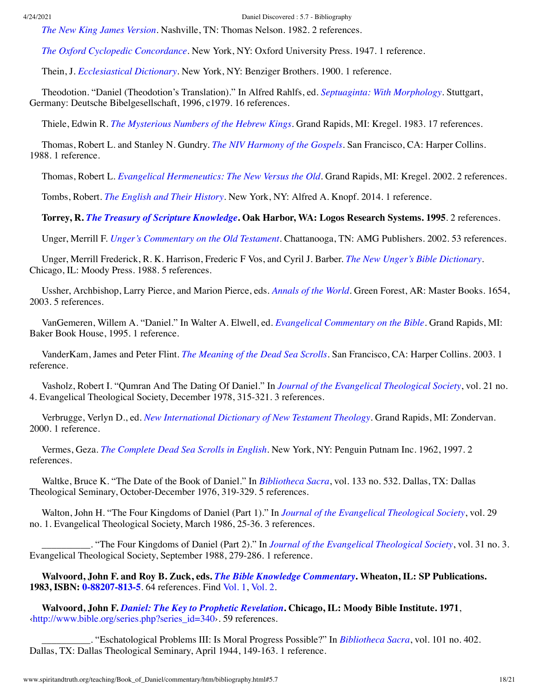*[The New King James Version](http://www.amazon.com/gp/search/ref=sr_adv_b/?search-alias=stripbooks&unfiltered=1&field-title=The%20New%20King%20James%20Version)*. Nashville, TN: Thomas Nelson. 1982. 2 references.

*[The Oxford Cyclopedic Concordance](http://www.amazon.com/gp/search/ref=sr_adv_b/?search-alias=stripbooks&unfiltered=1&field-title=The%20Oxford%20Cyclopedic%20Concordance)*. New York, NY: Oxford University Press. 1947. 1 reference.

Thein, J. *[Ecclesiastical Dictionary](http://www.amazon.com/gp/search/ref=sr_adv_b/?search-alias=stripbooks&unfiltered=1&field-title=Ecclesiastical%20Dictionary)*. New York, NY: Benziger Brothers. 1900. 1 reference.

Theodotion. "Daniel (Theodotion's Translation)." In Alfred Rahlfs, ed. *[Septuaginta: With Morphology](#page-14-0)*. Stuttgart, Germany: Deutsche Bibelgesellschaft, 1996, c1979. 16 references.

Thiele, Edwin R. *[The Mysterious Numbers of the Hebrew Kings](http://www.spiritandtruth.org/id/isbn.htm?082543825X)*. Grand Rapids, MI: Kregel. 1983. 17 references.

Thomas, Robert L. and Stanley N. Gundry. *[The NIV Harmony of the Gospels](http://www.spiritandtruth.org/id/isbn.htm?0060635231)*. San Francisco, CA: Harper Collins. 1988. 1 reference.

Thomas, Robert L. *[Evangelical Hermeneutics: The New Versus the Old](http://www.spiritandtruth.org/id/isbn.htm?082543839X)*. Grand Rapids, MI: Kregel. 2002. 2 references.

Tombs, Robert. *[The English and Their History](http://www.spiritandtruth.org/id/isbn.htm?9781101874776)*. New York, NY: Alfred A. Knopf. 2014. 1 reference.

**Torrey, R.** *[The Treasury of Scripture Knowledge](http://www.amazon.com/gp/search/ref=sr_adv_b/?search-alias=stripbooks&unfiltered=1&field-title=The%20Treasury%20of%20Scripture%20Knowledge)***. Oak Harbor, WA: Logos Research Systems. 1995**. 2 references.

Unger, Merrill F. *[Unger's Commentary on the Old Testament](http://www.spiritandtruth.org/id/isbn.htm?0899574157)*. Chattanooga, TN: AMG Publishers. 2002. 53 references.

Unger, Merrill Frederick, R. K. Harrison, Frederic F Vos, and Cyril J. Barber. *[The New Unger's Bible Dictionary](http://www.amazon.com/gp/search/ref=sr_adv_b/?search-alias=stripbooks&unfiltered=1&field-title=The%20New%20Unger%E2%80%99s%20Bible%20Dictionary)*. Chicago, IL: Moody Press. 1988. 5 references.

<span id="page-17-1"></span>Ussher, Archbishop, Larry Pierce, and Marion Pierce, eds. *[Annals of the World](http://www.spiritandtruth.org/id/isbn.htm?0890513600)*. Green Forest, AR: Master Books. 1654, 2003. 5 references.

VanGemeren, Willem A. "Daniel." In Walter A. Elwell, ed. *[Evangelical Commentary on the Bible](#page-5-2)*. Grand Rapids, MI: Baker Book House, 1995. 1 reference.

VanderKam, James and Peter Flint. *[The Meaning of the Dead Sea Scrolls](http://www.spiritandtruth.org/id/isbn.htm?006068464X)*. San Francisco, CA: Harper Collins. 2003. 1 reference.

Vasholz, Robert I. "Qumran And The Dating Of Daniel." In *[Journal of the Evangelical Theological Society](#page-9-7)*, vol. 21 no. 4. Evangelical Theological Society, December 1978, 315-321. 3 references.

Verbrugge, Verlyn D., ed. *[New International Dictionary of New Testament Theology](http://www.spiritandtruth.org/id/isbn.htm?0310256208)*. Grand Rapids, MI: Zondervan. 2000. 1 reference.

Vermes, Geza. *[The Complete Dead Sea Scrolls in English](http://www.spiritandtruth.org/id/isbn.htm?0713991313)*. New York, NY: Penguin Putnam Inc. 1962, 1997. 2 references.

Waltke, Bruce K. "The Date of the Book of Daniel." In *[Bibliotheca Sacra](#page-2-11)*, vol. 133 no. 532. Dallas, TX: Dallas Theological Seminary, October-December 1976, 319-329. 5 references.

Walton, John H. "The Four Kingdoms of Daniel (Part 1)." In *[Journal of the Evangelical Theological Society](#page-9-8)*, vol. 29 no. 1. Evangelical Theological Society, March 1986, 25-36. 3 references.

\_\_\_\_\_\_\_\_\_\_. "The Four Kingdoms of Daniel (Part 2)." In *[Journal of the Evangelical Theological Society](#page-9-9)*, vol. 31 no. 3. Evangelical Theological Society, September 1988, 279-286. 1 reference.

<span id="page-17-0"></span>**Walvoord, John F. and Roy B. Zuck, eds.** *[The Bible Knowledge Commentary](http://www.spiritandtruth.org/id/isbn.htm?0882078135)***. Wheaton, IL: SP Publications. 1983, ISBN: [0-88207-813-5](http://www.spiritandtruth.org/id/isbn.htm?0882078135)**. 64 references. Find [Vol. 1,](http://www.spiritandtruth.org/id/isbn.htm?0882078135) [Vol. 2.](http://www.spiritandtruth.org/id/isbn.htm?0882078127)

**Walvoord, John F.** *[Daniel: The Key to Prophetic Revelation](http://www.spiritandtruth.org/id/isbn.htm?0802417523)***. Chicago, IL: Moody Bible Institute. 1971**, [‹http://www.bible.org/series.php?series\\_id=340](http://www.bible.org/series.php?series_id=340)›. 59 references.

\_\_\_\_\_\_\_\_\_\_. "Eschatological Problems III: Is Moral Progress Possible?" In *[Bibliotheca Sacra](#page-2-12)*, vol. 101 no. 402. Dallas, TX: Dallas Theological Seminary, April 1944, 149-163. 1 reference.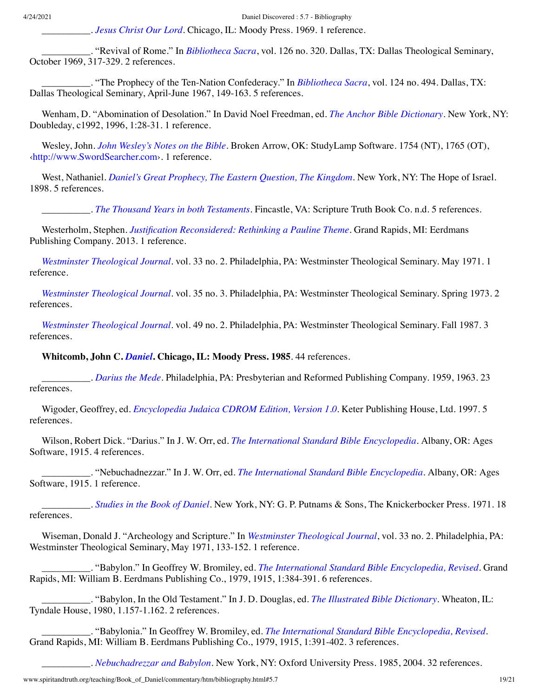\_\_\_\_\_\_\_\_\_\_. *[Jesus Christ Our Lord](http://www.spiritandtruth.org/id/isbn.htm?0802443265)*. Chicago, IL: Moody Press. 1969. 1 reference.

\_\_\_\_\_\_\_\_\_\_. "Revival of Rome." In *[Bibliotheca Sacra](#page-2-13)*, vol. 126 no. 320. Dallas, TX: Dallas Theological Seminary, October 1969, 317-329. 2 references.

\_\_\_\_\_\_\_\_\_\_. "The Prophecy of the Ten-Nation Confederacy." In *[Bibliotheca Sacra](#page-2-14)*, vol. 124 no. 494. Dallas, TX: Dallas Theological Seminary, April-June 1967, 149-163. 5 references.

Wenham, D. "Abomination of Desolation." In David Noel Freedman, ed. *[The Anchor Bible Dictionary](#page-6-1)*. New York, NY: Doubleday, c1992, 1996, 1:28-31. 1 reference.

Wesley, John. *[John Wesley's Notes on the Bible](http://www.amazon.com/gp/search/ref=sr_adv_b/?search-alias=stripbooks&unfiltered=1&field-title=John%20Wesley%E2%80%99s%20Notes%20on%20the%20Bible)*. Broken Arrow, OK: StudyLamp Software. 1754 (NT), 1765 (OT), [‹http://www.SwordSearcher.com›](http://www.swordsearcher.com/). 1 reference.

West, Nathaniel. *[Daniel's Great Prophecy, The Eastern Question, The Kingdom](http://www.amazon.com/gp/search/ref=sr_adv_b/?search-alias=stripbooks&unfiltered=1&field-title=Daniel%E2%80%99s%20Great%20Prophecy,%20The%20Eastern%20Question,%20The%20Kingdom)*. New York, NY: The Hope of Israel. 1898. 5 references.

\_\_\_\_\_\_\_\_\_\_. *[The Thousand Years in both Testaments](http://www.amazon.com/gp/search/ref=sr_adv_b/?search-alias=stripbooks&unfiltered=1&field-title=The%20Thousand%20Years%20in%20both%20Testaments)*. Fincastle, VA: Scripture Truth Book Co. n.d. 5 references.

Westerholm, Stephen. *[Justification Reconsidered: Rethinking a Pauline Theme](http://www.spiritandtruth.org/id/isbn.htm?9780802869616)*. Grand Rapids, MI: Eerdmans Publishing Company. 2013. 1 reference.

<span id="page-18-3"></span>*[Westminster Theological Journal](http://www.amazon.com/gp/search/ref=sr_adv_b/?search-alias=stripbooks&unfiltered=1&field-title=Westminster%20Theological%20Journal)*. vol. 33 no. 2. Philadelphia, PA: Westminster Theological Seminary. May 1971. 1 reference.

<span id="page-18-1"></span>*[Westminster Theological Journal](http://www.amazon.com/gp/search/ref=sr_adv_b/?search-alias=stripbooks&unfiltered=1&field-title=Westminster%20Theological%20Journal)*. vol. 35 no. 3. Philadelphia, PA: Westminster Theological Seminary. Spring 1973. 2 references.

<span id="page-18-2"></span>*[Westminster Theological Journal](http://www.amazon.com/gp/search/ref=sr_adv_b/?search-alias=stripbooks&unfiltered=1&field-title=Westminster%20Theological%20Journal)*. vol. 49 no. 2. Philadelphia, PA: Westminster Theological Seminary. Fall 1987. 3 references.

**Whitcomb, John C.** *[Daniel](http://www.spiritandtruth.org/id/isbn.htm?0802420672)***. Chicago, IL: Moody Press. 1985**. 44 references.

\_\_\_\_\_\_\_\_\_\_. *[Darius the Mede](http://www.amazon.com/gp/search/ref=sr_adv_b/?search-alias=stripbooks&unfiltered=1&field-title=Darius%20the%20Mede)*. Philadelphia, PA: Presbyterian and Reformed Publishing Company. 1959, 1963. 23 references.

<span id="page-18-0"></span>Wigoder, Geoffrey, ed. *[Encyclopedia Judaica CDROM Edition, Version 1.0](http://www.amazon.com/gp/search/ref=sr_adv_b/?search-alias=stripbooks&unfiltered=1&field-title=Encyclopedia%20Judaica%20CDROM%20Edition,%20Version%201.0)*. Keter Publishing House, Ltd. 1997. 5 references.

Wilson, Robert Dick. "Darius." In J. W. Orr, ed. *[The International Standard Bible Encyclopedia](#page-13-0)*. Albany, OR: Ages Software, 1915. 4 references.

\_\_\_\_\_\_\_\_\_\_. "Nebuchadnezzar." In J. W. Orr, ed. *[The International Standard Bible Encyclopedia](#page-13-0)*. Albany, OR: Ages Software, 1915. 1 reference.

\_\_\_\_\_\_\_\_\_\_. *[Studies in the Book of Daniel](http://www.amazon.com/gp/search/ref=sr_adv_b/?search-alias=stripbooks&unfiltered=1&field-title=Studies%20in%20the%20Book%20of%20Daniel)*. New York, NY: G. P. Putnams & Sons, The Knickerbocker Press. 1971. 18 references.

Wiseman, Donald J. "Archeology and Scripture." In *[Westminster Theological Journal](#page-18-3)*, vol. 33 no. 2. Philadelphia, PA: Westminster Theological Seminary, May 1971, 133-152. 1 reference.

\_\_\_\_\_\_\_\_\_\_. "Babylon." In Geoffrey W. Bromiley, ed. *[The International Standard Bible Encyclopedia, Revised](#page-2-4)*. Grand Rapids, MI: William B. Eerdmans Publishing Co., 1979, 1915, 1:384-391. 6 references.

\_\_\_\_\_\_\_\_\_\_. "Babylon, In the Old Testament." In J. D. Douglas, ed. *[The Illustrated Bible Dictionary](#page-5-3)*. Wheaton, IL: Tyndale House, 1980, 1.157-1.162. 2 references.

\_\_\_\_\_\_\_\_\_\_. "Babylonia." In Geoffrey W. Bromiley, ed. *[The International Standard Bible Encyclopedia, Revised](#page-2-4)*. Grand Rapids, MI: William B. Eerdmans Publishing Co., 1979, 1915, 1:391-402. 3 references.

\_\_\_\_\_\_\_\_\_\_. *[Nebuchadrezzar and Babylon](http://www.spiritandtruth.org/id/isbn.htm?0197261000)*. New York, NY: Oxford University Press. 1985, 2004. 32 references.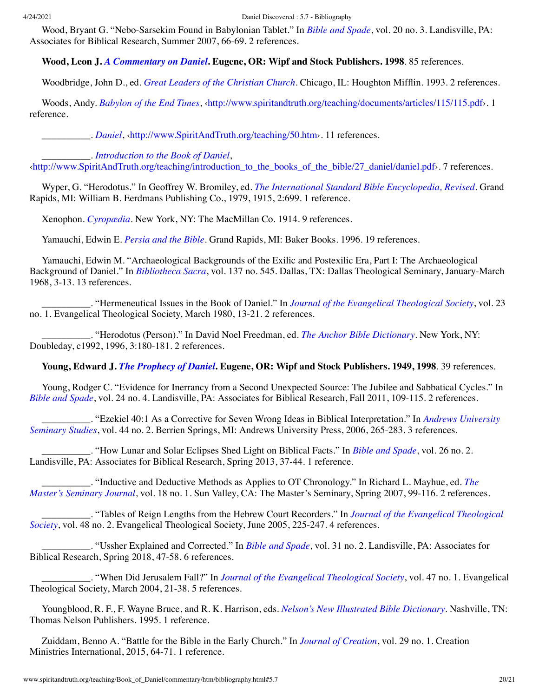Wood, Bryant G. "Nebo-Sarsekim Found in Babylonian Tablet." In *[Bible and Spade](#page-1-7)*, vol. 20 no. 3. Landisville, PA: Associates for Biblical Research, Summer 2007, 66-69. 2 references.

## **Wood, Leon J.** *[A Commentary on Daniel](http://www.amazon.com/gp/search/ref=sr_adv_b/?search-alias=stripbooks&unfiltered=1&field-title=A%20Commentary%20on%20Daniel)***. Eugene, OR: Wipf and Stock Publishers. 1998**. 85 references.

<span id="page-19-0"></span>Woodbridge, John D., ed. *[Great Leaders of the Christian Church](http://www.amazon.com/gp/search/ref=sr_adv_b/?search-alias=stripbooks&unfiltered=1&field-title=Great%20Leaders%20of%20the%20Christian%20Church)*. Chicago, IL: Houghton Mifflin. 1993. 2 references.

Woods, Andy. *[Babylon of the End Times](http://www.amazon.com/gp/search/ref=sr_adv_b/?search-alias=stripbooks&unfiltered=1&field-title=Babylon%20of%20the%20End%20Times)*, [‹http://www.spiritandtruth.org/teaching/documents/articles/115/115.pdf›](http://www.spiritandtruth.org/teaching/documents/articles/115/115.pdf). 1 reference.

\_\_\_\_\_\_\_\_\_\_. *[Daniel](http://www.amazon.com/gp/search/ref=sr_adv_b/?search-alias=stripbooks&unfiltered=1&field-title=Daniel)*, ‹[http://www.SpiritAndTruth.org/teaching/50.htm›](http://www.spiritandtruth.org/teaching/50.htm). 11 references.

\_\_\_\_\_\_\_\_\_\_. *[Introduction to the Book of Daniel](http://www.amazon.com/gp/search/ref=sr_adv_b/?search-alias=stripbooks&unfiltered=1&field-title=Introduction%20to%20the%20Book%20of%20Daniel)*,

[‹http://www.SpiritAndTruth.org/teaching/introduction\\_to\\_the\\_books\\_of\\_the\\_bible/27\\_daniel/daniel.pdf](http://www.spiritandtruth.org/teaching/introduction_to_the_books_of_the_bible/27_daniel/daniel.pdf)›. 7 references.

Wyper, G. "Herodotus." In Geoffrey W. Bromiley, ed. *[The International Standard Bible Encyclopedia, Revised](#page-2-4)*. Grand Rapids, MI: William B. Eerdmans Publishing Co., 1979, 1915, 2:699. 1 reference.

Xenophon. *[Cyropædia](http://www.amazon.com/gp/search/ref=sr_adv_b/?search-alias=stripbooks&unfiltered=1&field-title=Cyrop%C3%A6dia)*. New York, NY: The MacMillan Co. 1914. 9 references.

Yamauchi, Edwin E. *[Persia and the Bible](http://www.amazon.com/gp/search/ref=sr_adv_b/?search-alias=stripbooks&unfiltered=1&field-title=Persia%20and%20the%20Bible)*. Grand Rapids, MI: Baker Books. 1996. 19 references.

Yamauchi, Edwin M. "Archaeological Backgrounds of the Exilic and Postexilic Era, Part I: The Archaeological Background of Daniel." In *[Bibliotheca Sacra](#page-2-10)*, vol. 137 no. 545. Dallas, TX: Dallas Theological Seminary, January-March 1968, 3-13. 13 references.

\_\_\_\_\_\_\_\_\_\_. "Hermeneutical Issues in the Book of Daniel." In *[Journal of the Evangelical Theological Society](#page-9-10)*, vol. 23 no. 1. Evangelical Theological Society, March 1980, 13-21. 2 references.

\_\_\_\_\_\_\_\_\_\_. "Herodotus (Person)." In David Noel Freedman, ed. *[The Anchor Bible Dictionary](#page-6-1)*. New York, NY: Doubleday, c1992, 1996, 3:180-181. 2 references.

## **Young, Edward J.** *[The Prophecy of Daniel](http://www.spiritandtruth.org/id/isbn.htm?1579101798)***. Eugene, OR: Wipf and Stock Publishers. 1949, 1998**. 39 references.

Young, Rodger C. "Evidence for Inerrancy from a Second Unexpected Source: The Jubilee and Sabbatical Cycles." In *[Bible and Spade](#page-1-8)*, vol. 24 no. 4. Landisville, PA: Associates for Biblical Research, Fall 2011, 109-115. 2 references.

[\\_\\_\\_\\_\\_\\_\\_\\_\\_\\_. "Ezekiel 40:1 As a Corrective for Seven Wrong Ideas in Biblical Interpretation." In](#page-0-2) *Andrews University Seminary Studies*, vol. 44 no. 2. Berrien Springs, MI: Andrews University Press, 2006, 265-283. 3 references.

\_\_\_\_\_\_\_\_\_\_. "How Lunar and Solar Eclipses Shed Light on Biblical Facts." In *[Bible and Spade](#page-1-9)*, vol. 26 no. 2. Landisville, PA: Associates for Biblical Research, Spring 2013, 37-44. 1 reference.

[\\_\\_\\_\\_\\_\\_\\_\\_\\_\\_. "Inductive and Deductive Methods as Applies to OT Chronology." In Richard L. Mayhue, ed.](#page-11-4) *The Master's Seminary Journal*, vol. 18 no. 1. Sun Valley, CA: The Master's Seminary, Spring 2007, 99-116. 2 references.

\_\_\_\_\_\_\_\_\_\_. "Tables of Reign Lengths from the Hebrew Court Recorders." In *Journal of the Evangelical Theological Society*[, vol. 48 no. 2. Evangelical Theological Society, June 2005, 225-247. 4 references.](#page-9-11)

\_\_\_\_\_\_\_\_\_\_. "Ussher Explained and Corrected." In *[Bible and Spade](#page-2-15)*, vol. 31 no. 2. Landisville, PA: Associates for Biblical Research, Spring 2018, 47-58. 6 references.

\_\_\_\_\_\_\_\_\_\_. "When Did Jerusalem Fall?" In *[Journal of the Evangelical Theological Society](#page-9-12)*, vol. 47 no. 1. Evangelical Theological Society, March 2004, 21-38. 5 references.

Youngblood, R. F., F. Wayne Bruce, and R. K. Harrison, eds. *[Nelson's New Illustrated Bible Dictionary](http://www.amazon.com/gp/search/ref=sr_adv_b/?search-alias=stripbooks&unfiltered=1&field-title=Nelson%E2%80%99s%20New%20Illustrated%20Bible%20Dictionary)*. Nashville, TN: Thomas Nelson Publishers. 1995. 1 reference.

Zuiddam, Benno A. "Battle for the Bible in the Early Church." In *[Journal of Creation](#page-9-13)*, vol. 29 no. 1. Creation Ministries International, 2015, 64-71. 1 reference.